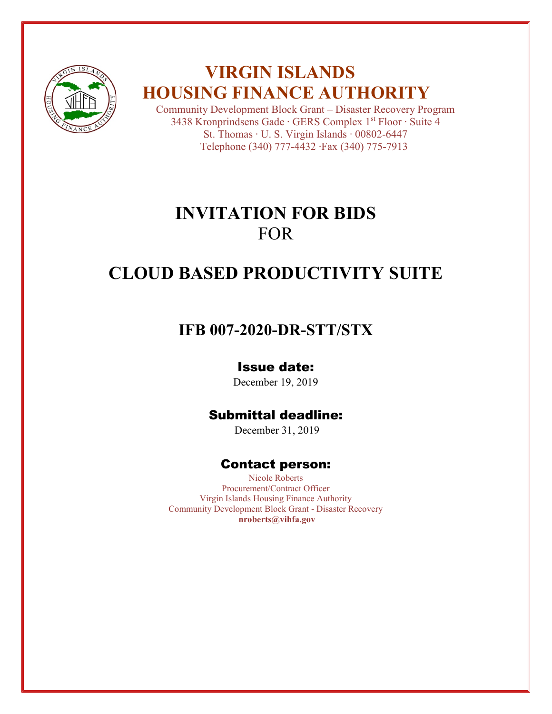

# **VIRGIN ISLANDS HOUSING FINANCE AUTHORITY**

Community Development Block Grant – Disaster Recovery Program 3438 Kronprindsens Gade ∙ GERS Complex 1st Floor ∙ Suite 4 St. Thomas ∙ U. S. Virgin Islands ∙ 00802-6447 Telephone (340) 777-4432 ∙Fax (340) 775-7913

# **INVITATION FOR BIDS** FOR

# **CLOUD BASED PRODUCTIVITY SUITE**

# **IFB 007-2020-DR-STT/STX**

# Issue date:

December 19, 2019

# Submittal deadline:

December 31, 2019

# Contact person:

Nicole Roberts Procurement/Contract Officer Virgin Islands Housing Finance Authority Community Development Block Grant - Disaster Recovery **nroberts@vihfa.gov**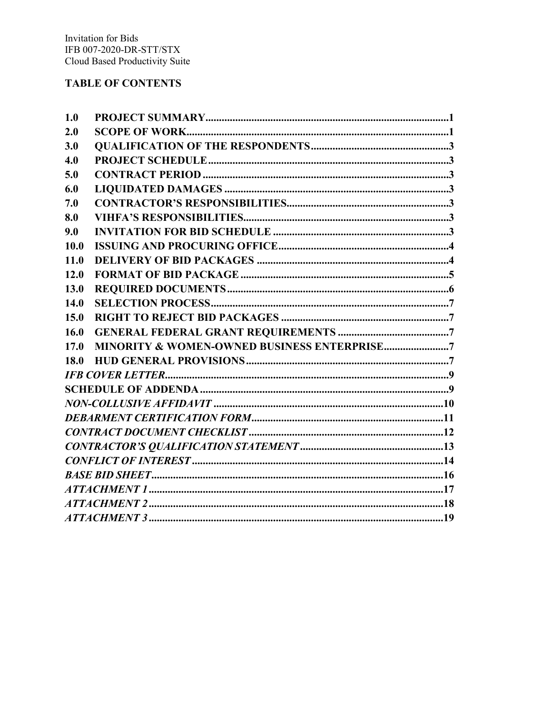### **TABLE OF CONTENTS**

| 1.0  |                                             |
|------|---------------------------------------------|
| 2.0  |                                             |
| 3.0  |                                             |
| 4.0  |                                             |
| 5.0  |                                             |
| 6.0  |                                             |
| 7.0  |                                             |
| 8.0  |                                             |
| 9.0  |                                             |
| 10.0 |                                             |
| 11.0 |                                             |
| 12.0 |                                             |
| 13.0 |                                             |
| 14.0 |                                             |
| 15.0 |                                             |
| 16.0 |                                             |
| 17.0 | MINORITY & WOMEN-OWNED BUSINESS ENTERPRISE7 |
| 18.0 |                                             |
|      |                                             |
|      |                                             |
|      |                                             |
|      |                                             |
|      |                                             |
|      |                                             |
|      |                                             |
|      |                                             |
|      |                                             |
|      |                                             |
|      |                                             |
|      |                                             |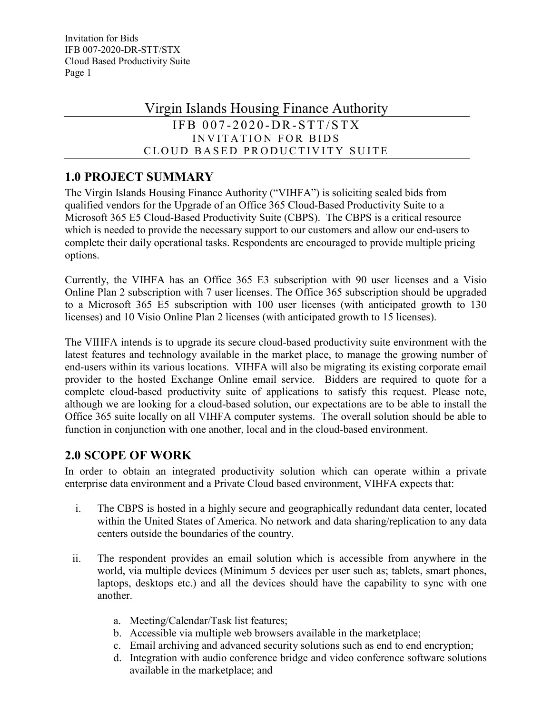# Virgin Islands Housing Finance Authority

### IFB  $007 - 2020 - DR - STT/STX$ INVITATION FOR BIDS CLOUD BASED PRODUCTIVITY SUITE

## <span id="page-2-0"></span>**1.0 PROJECT SUMMARY**

The Virgin Islands Housing Finance Authority ("VIHFA") is soliciting sealed bids from qualified vendors for the Upgrade of an Office 365 Cloud-Based Productivity Suite to a Microsoft 365 E5 Cloud-Based Productivity Suite (CBPS). The CBPS is a critical resource which is needed to provide the necessary support to our customers and allow our end-users to complete their daily operational tasks. Respondents are encouraged to provide multiple pricing options.

Currently, the VIHFA has an Office 365 E3 subscription with 90 user licenses and a Visio Online Plan 2 subscription with 7 user licenses. The Office 365 subscription should be upgraded to a Microsoft 365 E5 subscription with 100 user licenses (with anticipated growth to 130 licenses) and 10 Visio Online Plan 2 licenses (with anticipated growth to 15 licenses).

The VIHFA intends is to upgrade its secure cloud-based productivity suite environment with the latest features and technology available in the market place, to manage the growing number of end-users within its various locations. VIHFA will also be migrating its existing corporate email provider to the hosted Exchange Online email service. Bidders are required to quote for a complete cloud-based productivity suite of applications to satisfy this request. Please note, although we are looking for a cloud-based solution, our expectations are to be able to install the Office 365 suite locally on all VIHFA computer systems. The overall solution should be able to function in conjunction with one another, local and in the cloud-based environment.

## <span id="page-2-1"></span>**2.0 SCOPE OF WORK**

In order to obtain an integrated productivity solution which can operate within a private enterprise data environment and a Private Cloud based environment, VIHFA expects that:

- i. The CBPS is hosted in a highly secure and geographically redundant data center, located within the United States of America. No network and data sharing/replication to any data centers outside the boundaries of the country.
- ii. The respondent provides an email solution which is accessible from anywhere in the world, via multiple devices (Minimum 5 devices per user such as; tablets, smart phones, laptops, desktops etc.) and all the devices should have the capability to sync with one another.
	- a. Meeting/Calendar/Task list features;
	- b. Accessible via multiple web browsers available in the marketplace;
	- c. Email archiving and advanced security solutions such as end to end encryption;
	- d. Integration with audio conference bridge and video conference software solutions available in the marketplace; and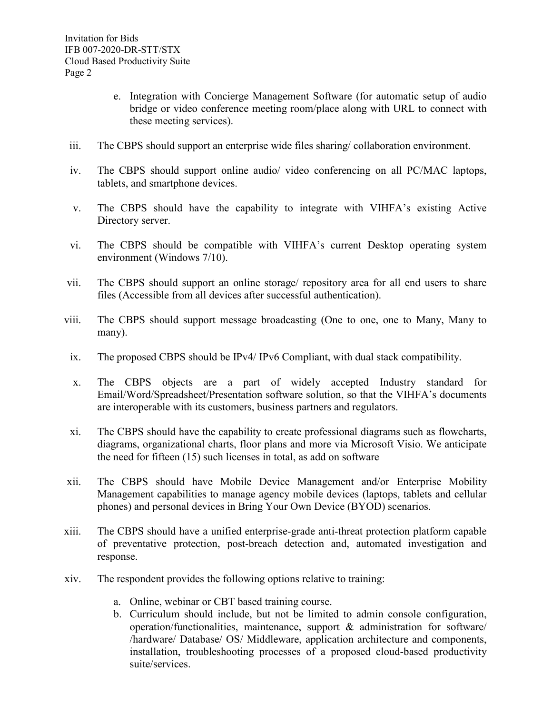- e. Integration with Concierge Management Software (for automatic setup of audio bridge or video conference meeting room/place along with URL to connect with these meeting services).
- iii. The CBPS should support an enterprise wide files sharing/ collaboration environment.
- iv. The CBPS should support online audio/ video conferencing on all PC/MAC laptops, tablets, and smartphone devices.
- v. The CBPS should have the capability to integrate with VIHFA's existing Active Directory server.
- vi. The CBPS should be compatible with VIHFA's current Desktop operating system environment (Windows 7/10).
- vii. The CBPS should support an online storage/ repository area for all end users to share files (Accessible from all devices after successful authentication).
- viii. The CBPS should support message broadcasting (One to one, one to Many, Many to many).
- ix. The proposed CBPS should be IPv4/ IPv6 Compliant, with dual stack compatibility.
- x. The CBPS objects are a part of widely accepted Industry standard for Email/Word/Spreadsheet/Presentation software solution, so that the VIHFA's documents are interoperable with its customers, business partners and regulators.
- xi. The CBPS should have the capability to create professional diagrams such as flowcharts, diagrams, organizational charts, floor plans and more via Microsoft Visio. We anticipate the need for fifteen (15) such licenses in total, as add on software
- xii. The CBPS should have Mobile Device Management and/or Enterprise Mobility Management capabilities to manage agency mobile devices (laptops, tablets and cellular phones) and personal devices in Bring Your Own Device (BYOD) scenarios.
- xiii. The CBPS should have a unified enterprise-grade anti-threat protection platform capable of preventative protection, post-breach detection and, automated investigation and response.
- xiv. The respondent provides the following options relative to training:
	- a. Online, webinar or CBT based training course.
	- b. Curriculum should include, but not be limited to admin console configuration, operation/functionalities, maintenance, support & administration for software/ /hardware/ Database/ OS/ Middleware, application architecture and components, installation, troubleshooting processes of a proposed cloud-based productivity suite/services.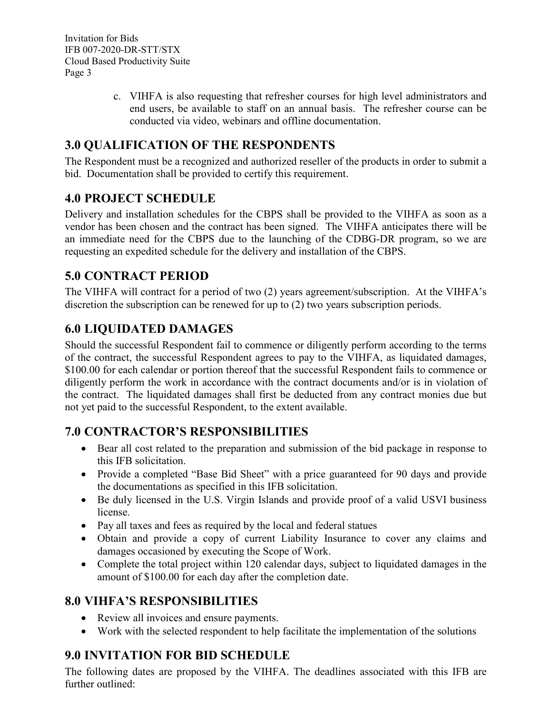> c. VIHFA is also requesting that refresher courses for high level administrators and end users, be available to staff on an annual basis. The refresher course can be conducted via video, webinars and offline documentation.

## <span id="page-4-0"></span>**3.0 QUALIFICATION OF THE RESPONDENTS**

The Respondent must be a recognized and authorized reseller of the products in order to submit a bid. Documentation shall be provided to certify this requirement.

### <span id="page-4-1"></span>**4.0 PROJECT SCHEDULE**

Delivery and installation schedules for the CBPS shall be provided to the VIHFA as soon as a vendor has been chosen and the contract has been signed. The VIHFA anticipates there will be an immediate need for the CBPS due to the launching of the CDBG-DR program, so we are requesting an expedited schedule for the delivery and installation of the CBPS.

## <span id="page-4-2"></span>**5.0 CONTRACT PERIOD**

The VIHFA will contract for a period of two (2) years agreement/subscription. At the VIHFA's discretion the subscription can be renewed for up to (2) two years subscription periods.

## <span id="page-4-3"></span>**6.0 LIQUIDATED DAMAGES**

Should the successful Respondent fail to commence or diligently perform according to the terms of the contract, the successful Respondent agrees to pay to the VIHFA, as liquidated damages, \$100.00 for each calendar or portion thereof that the successful Respondent fails to commence or diligently perform the work in accordance with the contract documents and/or is in violation of the contract. The liquidated damages shall first be deducted from any contract monies due but not yet paid to the successful Respondent, to the extent available.

## <span id="page-4-4"></span>**7.0 CONTRACTOR'S RESPONSIBILITIES**

- Bear all cost related to the preparation and submission of the bid package in response to this IFB solicitation.
- Provide a completed "Base Bid Sheet" with a price guaranteed for 90 days and provide the documentations as specified in this IFB solicitation.
- Be duly licensed in the U.S. Virgin Islands and provide proof of a valid USVI business license.
- Pay all taxes and fees as required by the local and federal statues
- Obtain and provide a copy of current Liability Insurance to cover any claims and damages occasioned by executing the Scope of Work.
- Complete the total project within 120 calendar days, subject to liquidated damages in the amount of \$100.00 for each day after the completion date.

## <span id="page-4-5"></span>**8.0 VIHFA'S RESPONSIBILITIES**

- Review all invoices and ensure payments.
- <span id="page-4-6"></span>• Work with the selected respondent to help facilitate the implementation of the solutions

# **9.0 INVITATION FOR BID SCHEDULE**

The following dates are proposed by the VIHFA. The deadlines associated with this IFB are further outlined: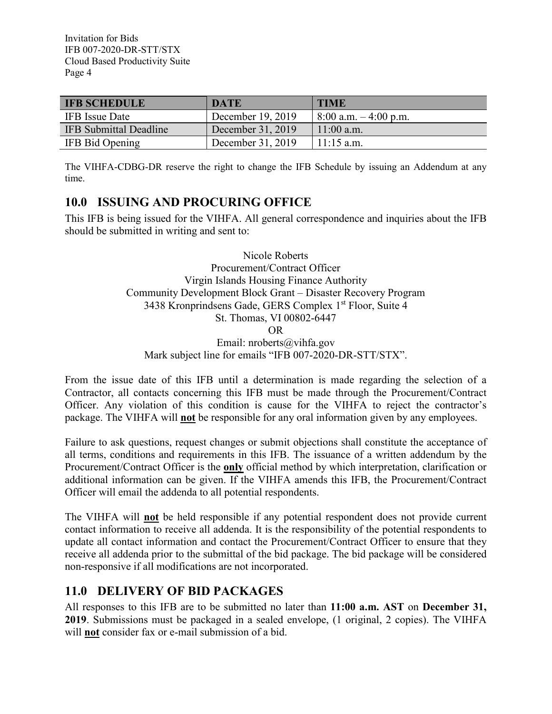| <b>IFB SCHEDULE</b>    | <b>DATE</b>       | <b>TIME</b>              |
|------------------------|-------------------|--------------------------|
| IFB Issue Date         | December 19, 2019 | $8:00$ a.m. $-4:00$ p.m. |
| IFB Submittal Deadline | December 31, 2019 | $11:00$ a.m.             |
| IFB Bid Opening        | December 31, 2019 | $11:15$ a.m.             |

The VIHFA-CDBG-DR reserve the right to change the IFB Schedule by issuing an Addendum at any time.

### <span id="page-5-0"></span>**10.0 ISSUING AND PROCURING OFFICE**

This IFB is being issued for the VIHFA. All general correspondence and inquiries about the IFB should be submitted in writing and sent to:

> Nicole Roberts Procurement/Contract Officer Virgin Islands Housing Finance Authority Community Development Block Grant – Disaster Recovery Program 3438 Kronprindsens Gade, GERS Complex 1<sup>st</sup> Floor, Suite 4 St. Thomas, VI 00802-6447 OR Email: nroberts@vihfa.gov Mark subject line for emails "IFB 007-2020-DR-STT/STX".

From the issue date of this IFB until a determination is made regarding the selection of a Contractor, all contacts concerning this IFB must be made through the Procurement/Contract Officer. Any violation of this condition is cause for the VIHFA to reject the contractor's package. The VIHFA will **not** be responsible for any oral information given by any employees.

Failure to ask questions, request changes or submit objections shall constitute the acceptance of all terms, conditions and requirements in this IFB. The issuance of a written addendum by the Procurement/Contract Officer is the **only** official method by which interpretation, clarification or additional information can be given. If the VIHFA amends this IFB, the Procurement/Contract Officer will email the addenda to all potential respondents.

The VIHFA will **not** be held responsible if any potential respondent does not provide current contact information to receive all addenda. It is the responsibility of the potential respondents to update all contact information and contact the Procurement/Contract Officer to ensure that they receive all addenda prior to the submittal of the bid package. The bid package will be considered non-responsive if all modifications are not incorporated.

## <span id="page-5-1"></span>**11.0 DELIVERY OF BID PACKAGES**

All responses to this IFB are to be submitted no later than **11:00 a.m. AST** on **December 31, 2019**. Submissions must be packaged in a sealed envelope, (1 original, 2 copies). The VIHFA will **not** consider fax or e-mail submission of a bid.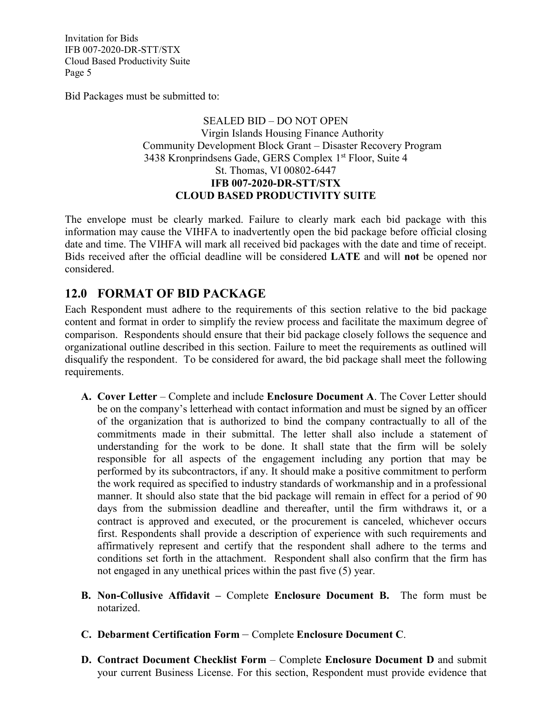Bid Packages must be submitted to:

### SEALED BID – DO NOT OPEN Virgin Islands Housing Finance Authority Community Development Block Grant – Disaster Recovery Program 3438 Kronprindsens Gade, GERS Complex 1st Floor, Suite 4 St. Thomas, VI 00802-6447 **IFB 007-2020-DR-STT/STX CLOUD BASED PRODUCTIVITY SUITE**

The envelope must be clearly marked. Failure to clearly mark each bid package with this information may cause the VIHFA to inadvertently open the bid package before official closing date and time. The VIHFA will mark all received bid packages with the date and time of receipt. Bids received after the official deadline will be considered **LATE** and will **not** be opened nor considered.

### <span id="page-6-0"></span>**12.0 FORMAT OF BID PACKAGE**

Each Respondent must adhere to the requirements of this section relative to the bid package content and format in order to simplify the review process and facilitate the maximum degree of comparison. Respondents should ensure that their bid package closely follows the sequence and organizational outline described in this section. Failure to meet the requirements as outlined will disqualify the respondent. To be considered for award, the bid package shall meet the following requirements.

- **A. Cover Letter** Complete and include **Enclosure Document A**. The Cover Letter should be on the company's letterhead with contact information and must be signed by an officer of the organization that is authorized to bind the company contractually to all of the commitments made in their submittal. The letter shall also include a statement of understanding for the work to be done. It shall state that the firm will be solely responsible for all aspects of the engagement including any portion that may be performed by its subcontractors, if any. It should make a positive commitment to perform the work required as specified to industry standards of workmanship and in a professional manner. It should also state that the bid package will remain in effect for a period of 90 days from the submission deadline and thereafter, until the firm withdraws it, or a contract is approved and executed, or the procurement is canceled, whichever occurs first. Respondents shall provide a description of experience with such requirements and affirmatively represent and certify that the respondent shall adhere to the terms and conditions set forth in the attachment. Respondent shall also confirm that the firm has not engaged in any unethical prices within the past five (5) year.
- **B. Non-Collusive Affidavit –** Complete **Enclosure Document B.** The form must be notarized.
- **C. Debarment Certification Form** Complete **Enclosure Document C**.
- **D. Contract Document Checklist Form** Complete **Enclosure Document D** and submit your current Business License. For this section, Respondent must provide evidence that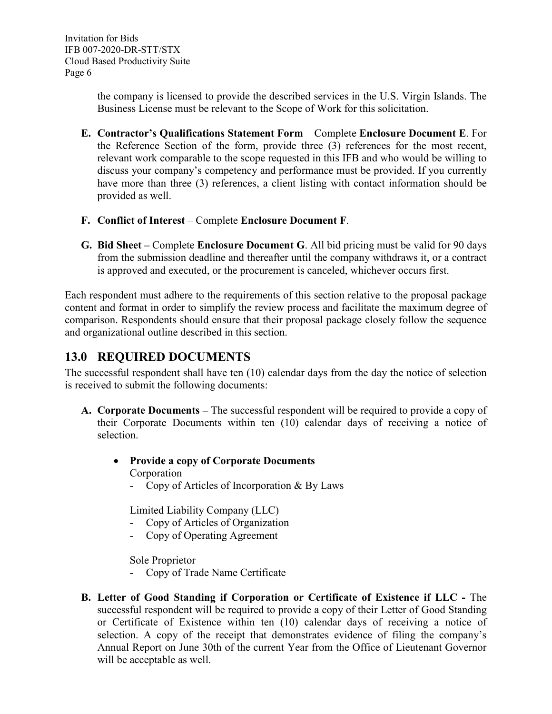> the company is licensed to provide the described services in the U.S. Virgin Islands. The Business License must be relevant to the Scope of Work for this solicitation.

- **E. Contractor's Qualifications Statement Form** Complete **Enclosure Document E**. For the Reference Section of the form, provide three (3) references for the most recent, relevant work comparable to the scope requested in this IFB and who would be willing to discuss your company's competency and performance must be provided. If you currently have more than three (3) references, a client listing with contact information should be provided as well.
- **F. Conflict of Interest** Complete **Enclosure Document F**.
- **G. Bid Sheet –** Complete **Enclosure Document G**. All bid pricing must be valid for 90 days from the submission deadline and thereafter until the company withdraws it, or a contract is approved and executed, or the procurement is canceled, whichever occurs first.

Each respondent must adhere to the requirements of this section relative to the proposal package content and format in order to simplify the review process and facilitate the maximum degree of comparison. Respondents should ensure that their proposal package closely follow the sequence and organizational outline described in this section.

### <span id="page-7-0"></span>**13.0 REQUIRED DOCUMENTS**

The successful respondent shall have ten (10) calendar days from the day the notice of selection is received to submit the following documents:

**A. Corporate Documents –** The successful respondent will be required to provide a copy of their Corporate Documents within ten (10) calendar days of receiving a notice of selection.

### • **Provide a copy of Corporate Documents** Corporation

- Copy of Articles of Incorporation & By Laws

Limited Liability Company (LLC)

- Copy of Articles of Organization
- Copy of Operating Agreement

Sole Proprietor

- Copy of Trade Name Certificate
- **B. Letter of Good Standing if Corporation or Certificate of Existence if LLC -** The successful respondent will be required to provide a copy of their Letter of Good Standing or Certificate of Existence within ten (10) calendar days of receiving a notice of selection. A copy of the receipt that demonstrates evidence of filing the company's Annual Report on June 30th of the current Year from the Office of Lieutenant Governor will be acceptable as well.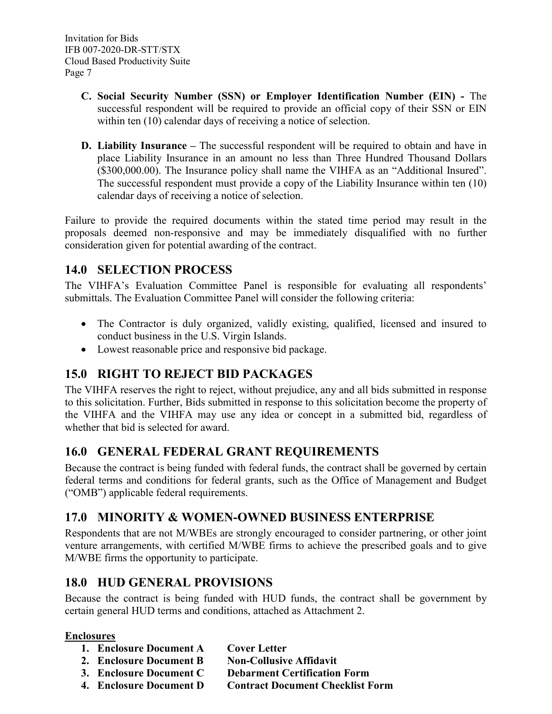- **C. Social Security Number (SSN) or Employer Identification Number (EIN) -** The successful respondent will be required to provide an official copy of their SSN or EIN within ten (10) calendar days of receiving a notice of selection.
- **D. Liability Insurance –** The successful respondent will be required to obtain and have in place Liability Insurance in an amount no less than Three Hundred Thousand Dollars (\$300,000.00). The Insurance policy shall name the VIHFA as an "Additional Insured". The successful respondent must provide a copy of the Liability Insurance within ten (10) calendar days of receiving a notice of selection.

Failure to provide the required documents within the stated time period may result in the proposals deemed non-responsive and may be immediately disqualified with no further consideration given for potential awarding of the contract.

## <span id="page-8-0"></span>**14.0 SELECTION PROCESS**

The VIHFA's Evaluation Committee Panel is responsible for evaluating all respondents' submittals. The Evaluation Committee Panel will consider the following criteria:

- The Contractor is duly organized, validly existing, qualified, licensed and insured to conduct business in the U.S. Virgin Islands.
- Lowest reasonable price and responsive bid package.

## <span id="page-8-1"></span>**15.0 RIGHT TO REJECT BID PACKAGES**

The VIHFA reserves the right to reject, without prejudice, any and all bids submitted in response to this solicitation. Further, Bids submitted in response to this solicitation become the property of the VIHFA and the VIHFA may use any idea or concept in a submitted bid, regardless of whether that bid is selected for award.

### <span id="page-8-2"></span>**16.0 GENERAL FEDERAL GRANT REQUIREMENTS**

Because the contract is being funded with federal funds, the contract shall be governed by certain federal terms and conditions for federal grants, such as the Office of Management and Budget ("OMB") applicable federal requirements.

### <span id="page-8-3"></span>**17.0 MINORITY & WOMEN-OWNED BUSINESS ENTERPRISE**

Respondents that are not M/WBEs are strongly encouraged to consider partnering, or other joint venture arrangements, with certified M/WBE firms to achieve the prescribed goals and to give M/WBE firms the opportunity to participate.

### <span id="page-8-4"></span>**18.0 HUD GENERAL PROVISIONS**

Because the contract is being funded with HUD funds, the contract shall be government by certain general HUD terms and conditions, attached as Attachment 2.

### **Enclosures**

- **1. Enclosure Document A Cover Letter**
- **2. Enclosure Document B Non-Collusive Affidavit**
- **3. Enclosure Document C Debarment Certification Form**
- **4. Enclosure Document D Contract Document Checklist Form**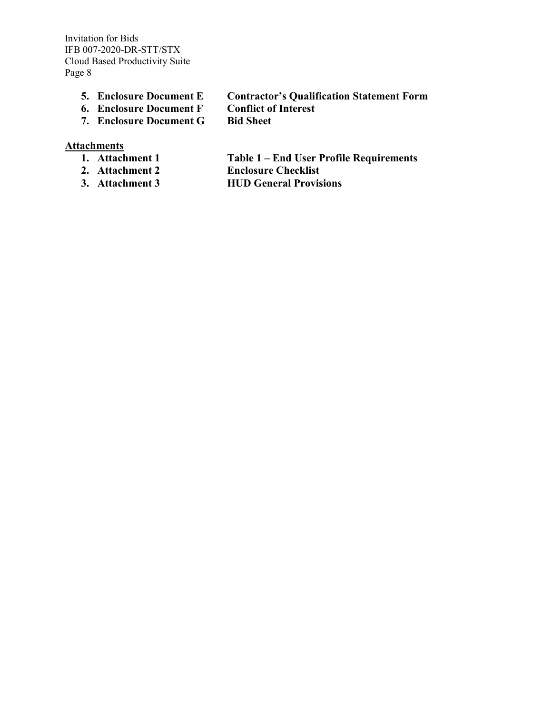- **5. Enclosure Document E Contractor's Qualification Statement Form**
	-
- **6. Enclosure Document F Conflict of Interest 7. Enclosure Document G** 
	-
- 

#### **Attachments**

- 
- 
- 
- **1. Attachment 1 Table 1 – End User Profile Requirements 2. Attachment 2 Enclosure Checklist**
- **3. Attachment 3 HUD General Provisions**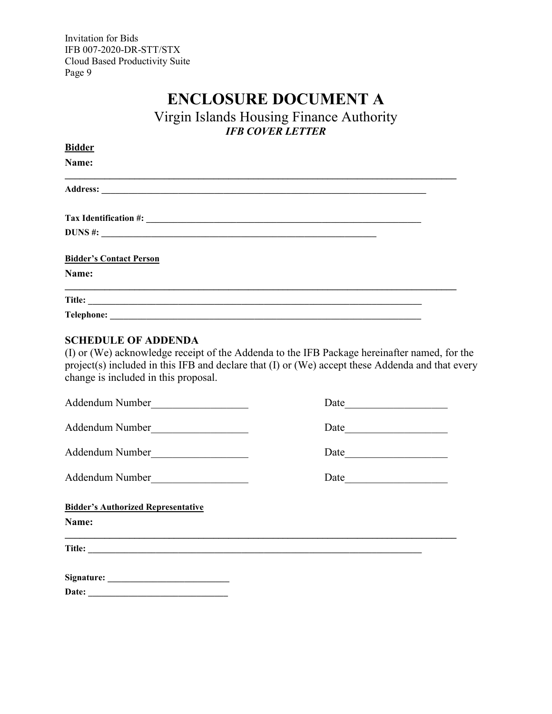# **ENCLOSURE DOCUMENT A**

Virgin Islands Housing Finance Authority *IFB COVER LETTER*

<span id="page-10-0"></span>

| <u>Bidder</u>                  |  |
|--------------------------------|--|
| Name:                          |  |
|                                |  |
|                                |  |
| <b>DUNS</b> #:                 |  |
| <b>Bidder's Contact Person</b> |  |
| Name:                          |  |
|                                |  |
|                                |  |

#### <span id="page-10-1"></span>**SCHEDULE OF ADDENDA**

(I) or (We) acknowledge receipt of the Addenda to the IFB Package hereinafter named, for the project(s) included in this IFB and declare that (I) or (We) accept these Addenda and that every change is included in this proposal.

| Addendum Number<br><u> 1989 - Johann Stein, mars an t-Amerikaansk kommunister (</u> | Date |
|-------------------------------------------------------------------------------------|------|
| Addendum Number                                                                     |      |
| Addendum Number<br><u> 1980 - Andrea Andrew Maria III (m. 195</u>                   |      |
| Addendum Number                                                                     |      |
| <b>Bidder's Authorized Representative</b><br>Name:                                  |      |
| Title:                                                                              |      |
|                                                                                     |      |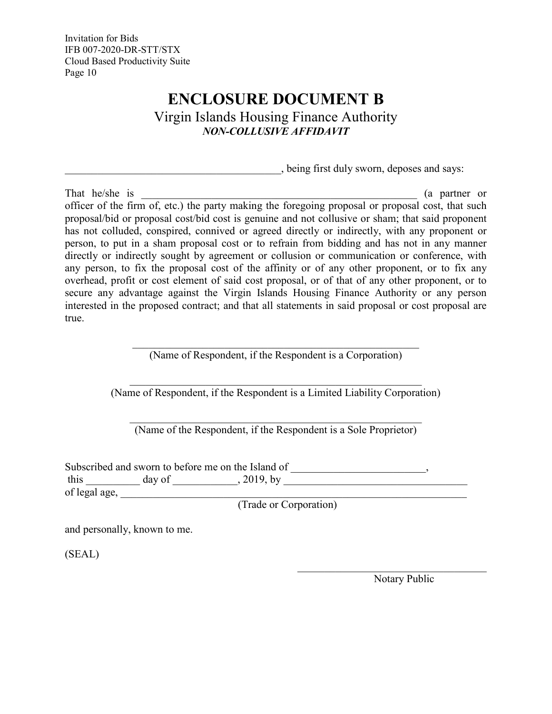# **ENCLOSURE DOCUMENT B**

Virgin Islands Housing Finance Authority *NON-COLLUSIVE AFFIDAVIT*

\_\_\_\_\_\_\_\_\_\_\_\_\_\_\_\_\_\_\_\_\_\_\_\_\_\_\_\_\_\_\_\_\_\_\_\_\_\_\_\_, being first duly sworn, deposes and says:

<span id="page-11-0"></span>That he/she is  $($ a partner or  $)$ officer of the firm of, etc.) the party making the foregoing proposal or proposal cost, that such proposal/bid or proposal cost/bid cost is genuine and not collusive or sham; that said proponent has not colluded, conspired, connived or agreed directly or indirectly, with any proponent or person, to put in a sham proposal cost or to refrain from bidding and has not in any manner directly or indirectly sought by agreement or collusion or communication or conference, with any person, to fix the proposal cost of the affinity or of any other proponent, or to fix any overhead, profit or cost element of said cost proposal, or of that of any other proponent, or to secure any advantage against the Virgin Islands Housing Finance Authority or any person interested in the proposed contract; and that all statements in said proposal or cost proposal are true.

> \_\_\_\_\_\_\_\_\_\_\_\_\_\_\_\_\_\_\_\_\_\_\_\_\_\_\_\_\_\_\_\_\_\_\_\_\_\_\_\_\_\_\_\_\_\_\_\_\_\_\_\_\_ (Name of Respondent, if the Respondent is a Corporation)

\_\_\_\_\_\_\_\_\_\_\_\_\_\_\_\_\_\_\_\_\_\_\_\_\_\_\_\_\_\_\_\_\_\_\_\_\_\_\_\_\_\_\_\_\_\_\_\_\_\_\_\_\_\_ (Name of Respondent, if the Respondent is a Limited Liability Corporation)

(Name of the Respondent, if the Respondent is a Sole Proprietor)

Subscribed and sworn to before me on the Island of \_\_\_\_\_\_\_\_\_\_\_\_\_\_\_\_\_\_\_\_\_\_, this  $\frac{day \text{ of } y}{x}$ , 2019, by  $\frac{1}{x}$ of legal age, \_\_\_\_\_\_\_\_\_\_\_\_\_\_\_\_\_\_\_\_\_\_\_\_\_\_\_\_\_\_\_\_\_\_\_\_\_\_\_\_\_\_\_\_\_\_\_\_\_\_\_\_\_\_\_\_\_\_\_\_\_\_\_\_

(Trade or Corporation)

and personally, known to me.

(SEAL)

Notary Public

 $\mathcal{L}_\mathcal{L}$  , which is a set of the set of the set of the set of the set of the set of the set of the set of the set of the set of the set of the set of the set of the set of the set of the set of the set of the set of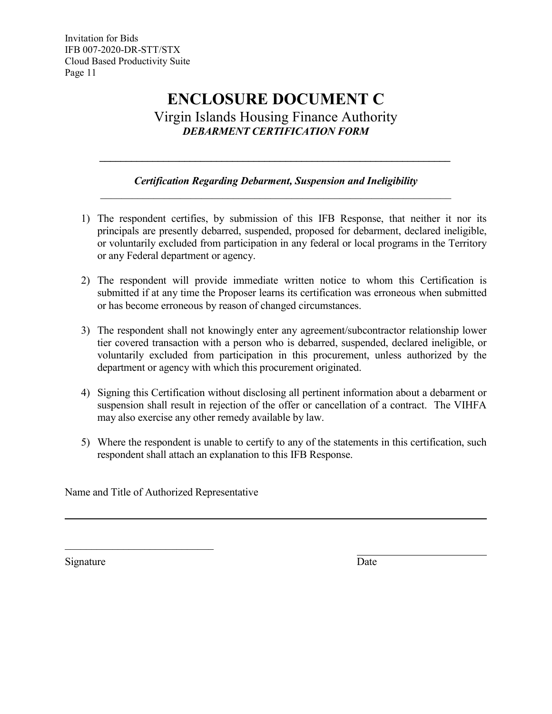### **ENCLOSURE DOCUMENT C** Virgin Islands Housing Finance Authority *DEBARMENT CERTIFICATION FORM*

### *Certification Regarding Debarment, Suspension and Ineligibility \_\_\_\_\_\_\_\_\_\_\_\_\_\_\_\_\_\_\_\_\_\_\_\_\_\_\_\_\_\_\_\_\_\_\_\_\_\_\_\_\_\_\_\_\_\_\_\_\_\_\_\_\_\_\_\_\_\_\_\_\_\_\_\_\_\_*

<span id="page-12-0"></span>*\_\_\_\_\_\_\_\_\_\_\_\_\_\_\_\_\_\_\_\_\_\_\_\_\_\_\_\_\_\_\_\_\_\_\_\_\_\_\_\_\_\_\_\_\_\_\_\_\_\_\_\_\_\_\_\_\_\_\_\_\_\_\_\_\_\_*

- 1) The respondent certifies, by submission of this IFB Response, that neither it nor its principals are presently debarred, suspended, proposed for debarment, declared ineligible, or voluntarily excluded from participation in any federal or local programs in the Territory or any Federal department or agency.
- 2) The respondent will provide immediate written notice to whom this Certification is submitted if at any time the Proposer learns its certification was erroneous when submitted or has become erroneous by reason of changed circumstances.
- 3) The respondent shall not knowingly enter any agreement/subcontractor relationship lower tier covered transaction with a person who is debarred, suspended, declared ineligible, or voluntarily excluded from participation in this procurement, unless authorized by the department or agency with which this procurement originated.
- 4) Signing this Certification without disclosing all pertinent information about a debarment or suspension shall result in rejection of the offer or cancellation of a contract. The VIHFA may also exercise any other remedy available by law.
- 5) Where the respondent is unable to certify to any of the statements in this certification, such respondent shall attach an explanation to this IFB Response.

Name and Title of Authorized Representative

\_\_\_\_\_\_\_\_\_\_\_\_\_\_\_\_\_\_\_\_\_\_\_\_\_\_\_\_

Signature Date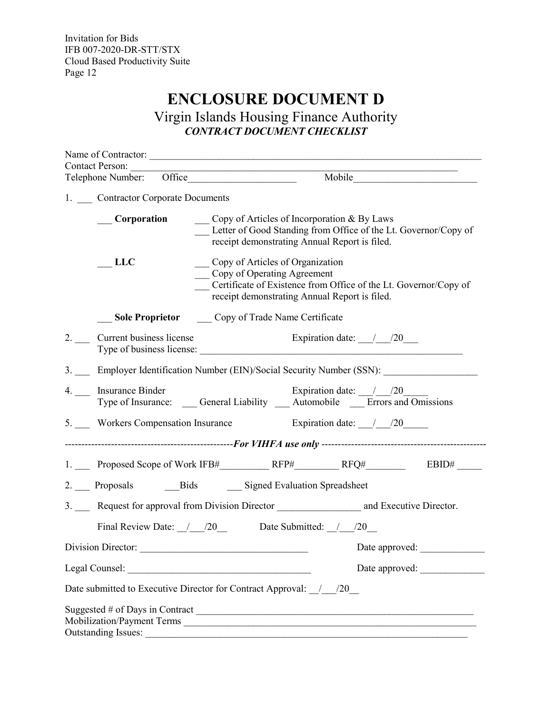# **ENCLOSURE DOCUMENT D**

Virgin Islands Housing Finance Authority *CONTRACT DOCUMENT CHECKLIST*

<span id="page-13-0"></span>

| <b>Contact Person:</b><br>Telephone Number: Office                  | Mobile                                                                                                                                                                               |
|---------------------------------------------------------------------|--------------------------------------------------------------------------------------------------------------------------------------------------------------------------------------|
| 1. Contractor Corporate Documents                                   |                                                                                                                                                                                      |
| <b>Corporation</b>                                                  | Copy of Articles of Incorporation & By Laws<br>Letter of Good Standing from Office of the Lt. Governor/Copy of<br>receipt demonstrating Annual Report is filed.                      |
| <b>LLC</b>                                                          | Copy of Articles of Organization<br>Copy of Operating Agreement<br>Certificate of Existence from Office of the Lt. Governor/Copy of<br>receipt demonstrating Annual Report is filed. |
| Sole Proprietor Copy of Trade Name Certificate                      |                                                                                                                                                                                      |
| 2. Current business license                                         | Expiration date: $\frac{1}{20}$<br>Type of business license:                                                                                                                         |
|                                                                     | 3. Employer Identification Number (EIN)/Social Security Number (SSN):                                                                                                                |
| 4. __ Insurance Binder                                              | Expiration date: $\frac{1}{20}$<br>Type of Insurance: ____ General Liability ____ Automobile ____ Errors and Omissions                                                               |
|                                                                     | 5. Workers Compensation Insurance Expiration date: 1.100                                                                                                                             |
|                                                                     |                                                                                                                                                                                      |
|                                                                     |                                                                                                                                                                                      |
| 2. Proposals Bids Signed Evaluation Spreadsheet                     |                                                                                                                                                                                      |
|                                                                     |                                                                                                                                                                                      |
|                                                                     | Final Review Date: $/20$ Date Submitted: $/20$                                                                                                                                       |
|                                                                     | Date approved:                                                                                                                                                                       |
| Legal Counsel: New York Counsel:                                    | Date approved:                                                                                                                                                                       |
| Date submitted to Executive Director for Contract Approval: _/_/20_ |                                                                                                                                                                                      |
| <b>Outstanding Issues:</b>                                          | Suggested # of Days in Contract $\frac{1}{2}$<br>Mobilization/Payment Terms                                                                                                          |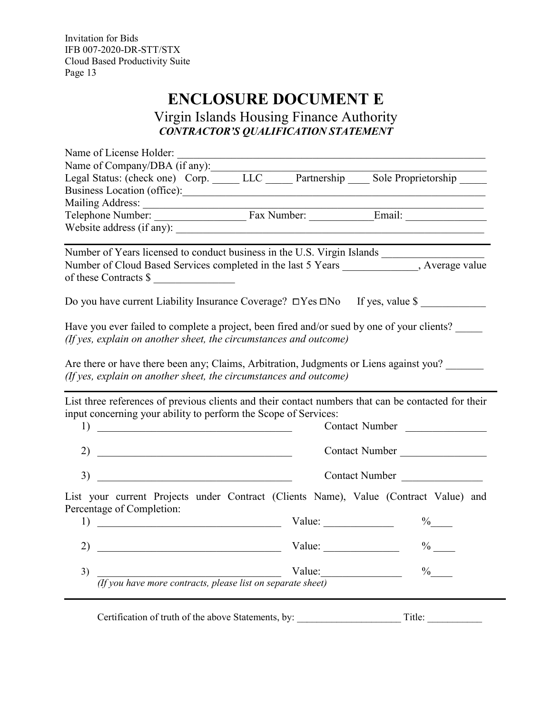# **ENCLOSURE DOCUMENT E**

Virgin Islands Housing Finance Authority *CONTRACTOR'S QUALIFICATION STATEMENT*

<span id="page-14-0"></span>

| Name of License Holder:                                                                                                                                                                                                                                                 |        |                |
|-------------------------------------------------------------------------------------------------------------------------------------------------------------------------------------------------------------------------------------------------------------------------|--------|----------------|
| Name of Company/DBA (if any):                                                                                                                                                                                                                                           |        |                |
| Legal Status: (check one) Corp. LLC Partnership Sole Proprietorship                                                                                                                                                                                                     |        |                |
|                                                                                                                                                                                                                                                                         |        |                |
|                                                                                                                                                                                                                                                                         |        |                |
|                                                                                                                                                                                                                                                                         |        |                |
| Website address (if any):                                                                                                                                                                                                                                               |        |                |
| Number of Years licensed to conduct business in the U.S. Virgin Islands                                                                                                                                                                                                 |        |                |
| Number of Cloud Based Services completed in the last 5 Years _____________, Average value<br>of these Contracts \$                                                                                                                                                      |        |                |
| Do you have current Liability Insurance Coverage? □Yes □No If yes, value \$                                                                                                                                                                                             |        |                |
| Have you ever failed to complete a project, been fired and/or sued by one of your clients?<br>(If yes, explain on another sheet, the circumstances and outcome)                                                                                                         |        |                |
|                                                                                                                                                                                                                                                                         |        |                |
|                                                                                                                                                                                                                                                                         |        |                |
|                                                                                                                                                                                                                                                                         |        |                |
| Are there or have there been any; Claims, Arbitration, Judgments or Liens against you?<br>(If yes, explain on another sheet, the circumstances and outcome)                                                                                                             |        |                |
|                                                                                                                                                                                                                                                                         |        |                |
| List three references of previous clients and their contact numbers that can be contacted for their                                                                                                                                                                     |        |                |
| input concerning your ability to perform the Scope of Services:                                                                                                                                                                                                         |        |                |
| 1)<br><u> 1989 - Johann John Stone, market fan it ferstjer fan it ferstjer fan it ferstjer fan it ferstjer fan it fers</u>                                                                                                                                              |        | Contact Number |
| 2) $\overline{\phantom{a}}$                                                                                                                                                                                                                                             |        | Contact Number |
|                                                                                                                                                                                                                                                                         |        | Contact Number |
| List your current Projects under Contract (Clients Name), Value (Contract Value) and                                                                                                                                                                                    |        |                |
| Percentage of Completion:<br><u> 1989 - Johann Harry Harry Harry Harry Harry Harry Harry Harry Harry Harry Harry Harry Harry Harry Harry Harry Harry Harry Harry Harry Harry Harry Harry Harry Harry Harry Harry Harry Harry Harry Harry Harry Harry Harry Ha</u><br>1) | Value: | $\%$           |
| <u> 1989 - Johann Barbara, martin din Barbara, martin din Barbara, martin din Barbara, martin din Barbara, martin</u><br>2)                                                                                                                                             | Value: | $\%$           |
| 3)                                                                                                                                                                                                                                                                      | Value: | $\%$           |

Certification of truth of the above Statements, by: \_\_\_\_\_\_\_\_\_\_\_\_\_\_\_\_\_\_\_\_\_ Title: \_\_\_\_\_\_\_\_\_\_\_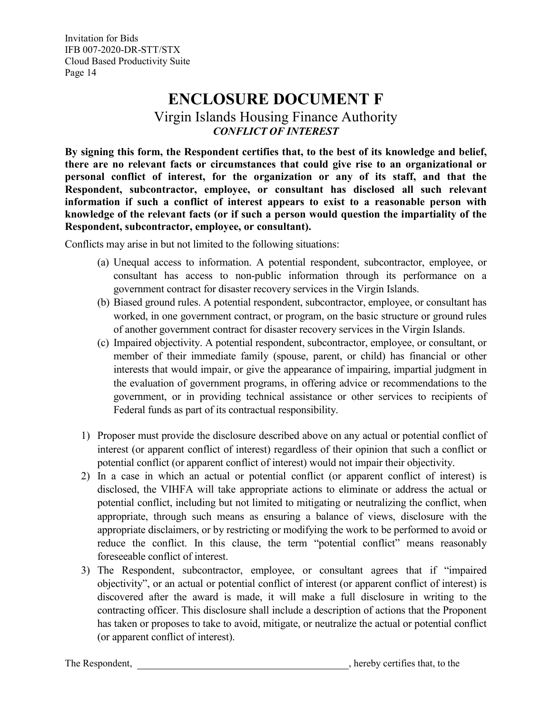# **ENCLOSURE DOCUMENT F**

Virgin Islands Housing Finance Authority *CONFLICT OF INTEREST*

<span id="page-15-0"></span>**By signing this form, the Respondent certifies that, to the best of its knowledge and belief, there are no relevant facts or circumstances that could give rise to an organizational or personal conflict of interest, for the organization or any of its staff, and that the Respondent, subcontractor, employee, or consultant has disclosed all such relevant information if such a conflict of interest appears to exist to a reasonable person with knowledge of the relevant facts (or if such a person would question the impartiality of the Respondent, subcontractor, employee, or consultant).**

Conflicts may arise in but not limited to the following situations:

- (a) Unequal access to information. A potential respondent, subcontractor, employee, or consultant has access to non-public information through its performance on a government contract for disaster recovery services in the Virgin Islands.
- (b) Biased ground rules. A potential respondent, subcontractor, employee, or consultant has worked, in one government contract, or program, on the basic structure or ground rules of another government contract for disaster recovery services in the Virgin Islands.
- (c) Impaired objectivity. A potential respondent, subcontractor, employee, or consultant, or member of their immediate family (spouse, parent, or child) has financial or other interests that would impair, or give the appearance of impairing, impartial judgment in the evaluation of government programs, in offering advice or recommendations to the government, or in providing technical assistance or other services to recipients of Federal funds as part of its contractual responsibility.
- 1) Proposer must provide the disclosure described above on any actual or potential conflict of interest (or apparent conflict of interest) regardless of their opinion that such a conflict or potential conflict (or apparent conflict of interest) would not impair their objectivity.
- 2) In a case in which an actual or potential conflict (or apparent conflict of interest) is disclosed, the VIHFA will take appropriate actions to eliminate or address the actual or potential conflict, including but not limited to mitigating or neutralizing the conflict, when appropriate, through such means as ensuring a balance of views, disclosure with the appropriate disclaimers, or by restricting or modifying the work to be performed to avoid or reduce the conflict. In this clause, the term "potential conflict" means reasonably foreseeable conflict of interest.
- 3) The Respondent, subcontractor, employee, or consultant agrees that if "impaired objectivity", or an actual or potential conflict of interest (or apparent conflict of interest) is discovered after the award is made, it will make a full disclosure in writing to the contracting officer. This disclosure shall include a description of actions that the Proponent has taken or proposes to take to avoid, mitigate, or neutralize the actual or potential conflict (or apparent conflict of interest).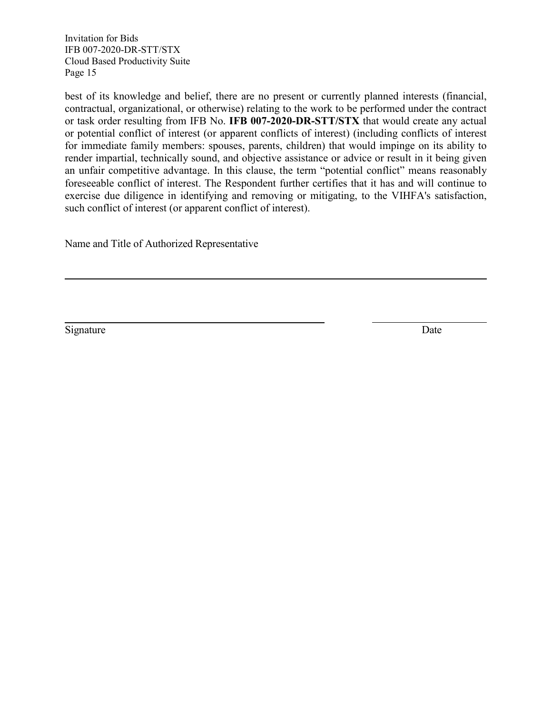best of its knowledge and belief, there are no present or currently planned interests (financial, contractual, organizational, or otherwise) relating to the work to be performed under the contract or task order resulting from IFB No. **IFB 007-2020-DR-STT/STX** that would create any actual or potential conflict of interest (or apparent conflicts of interest) (including conflicts of interest for immediate family members: spouses, parents, children) that would impinge on its ability to render impartial, technically sound, and objective assistance or advice or result in it being given an unfair competitive advantage. In this clause, the term "potential conflict" means reasonably foreseeable conflict of interest. The Respondent further certifies that it has and will continue to exercise due diligence in identifying and removing or mitigating, to the VIHFA's satisfaction, such conflict of interest (or apparent conflict of interest).

Name and Title of Authorized Representative

Signature Date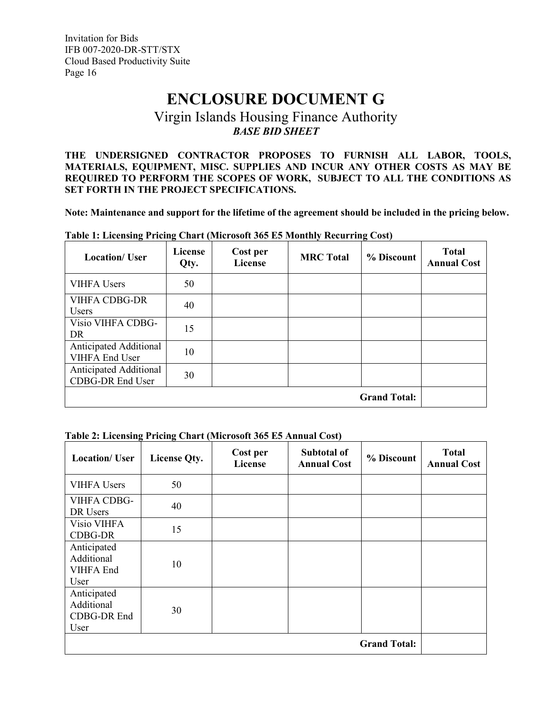# **ENCLOSURE DOCUMENT G**

### Virgin Islands Housing Finance Authority *BASE BID SHEET*

<span id="page-17-0"></span>**THE UNDERSIGNED CONTRACTOR PROPOSES TO FURNISH ALL LABOR, TOOLS, MATERIALS, EQUIPMENT, MISC. SUPPLIES AND INCUR ANY OTHER COSTS AS MAY BE REQUIRED TO PERFORM THE SCOPES OF WORK, SUBJECT TO ALL THE CONDITIONS AS SET FORTH IN THE PROJECT SPECIFICATIONS.**

**Note: Maintenance and support for the lifetime of the agreement should be included in the pricing below.**

| <b>Location/ User</b>                           | License<br>Qty. | Cost per<br><b>License</b> | <b>MRC</b> Total | % Discount          | <b>Total</b><br><b>Annual Cost</b> |
|-------------------------------------------------|-----------------|----------------------------|------------------|---------------------|------------------------------------|
| <b>VIHFA Users</b>                              | 50              |                            |                  |                     |                                    |
| <b>VIHFA CDBG-DR</b><br>Users                   | 40              |                            |                  |                     |                                    |
| Visio VIHFA CDBG-<br>DR                         | 15              |                            |                  |                     |                                    |
| Anticipated Additional<br><b>VIHFA End User</b> | 10              |                            |                  |                     |                                    |
| Anticipated Additional<br>CDBG-DR End User      | 30              |                            |                  |                     |                                    |
|                                                 |                 |                            |                  | <b>Grand Total:</b> |                                    |

**Table 1: Licensing Pricing Chart (Microsoft 365 E5 Monthly Recurring Cost)**

#### **Table 2: Licensing Pricing Chart (Microsoft 365 E5 Annual Cost)**

| <b>Location/ User</b>                            | License Qty. | Cost per<br>License | <b>Subtotal of</b><br><b>Annual Cost</b> | % Discount          | <b>Total</b><br><b>Annual Cost</b> |
|--------------------------------------------------|--------------|---------------------|------------------------------------------|---------------------|------------------------------------|
| <b>VIHFA Users</b>                               | 50           |                     |                                          |                     |                                    |
| VIHFA CDBG-<br>DR Users                          | 40           |                     |                                          |                     |                                    |
| Visio VIHFA<br>CDBG-DR                           | 15           |                     |                                          |                     |                                    |
| Anticipated<br>Additional<br>VIHFA End<br>User   | 10           |                     |                                          |                     |                                    |
| Anticipated<br>Additional<br>CDBG-DR End<br>User | 30           |                     |                                          |                     |                                    |
|                                                  |              |                     |                                          | <b>Grand Total:</b> |                                    |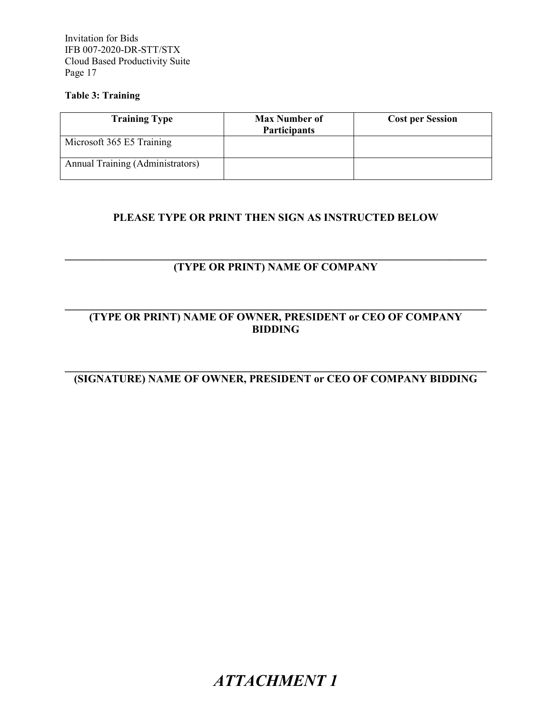#### **Table 3: Training**

| <b>Training Type</b>             | <b>Max Number of</b><br><b>Participants</b> | <b>Cost per Session</b> |
|----------------------------------|---------------------------------------------|-------------------------|
| Microsoft 365 E5 Training        |                                             |                         |
| Annual Training (Administrators) |                                             |                         |

### **PLEASE TYPE OR PRINT THEN SIGN AS INSTRUCTED BELOW**

#### **\_\_\_\_\_\_\_\_\_\_\_\_\_\_\_\_\_\_\_\_\_\_\_\_\_\_\_\_\_\_\_\_\_\_\_\_\_\_\_\_\_\_\_\_\_\_\_\_\_\_\_\_\_\_\_\_\_\_\_\_\_\_\_\_\_\_\_\_\_\_\_\_\_\_\_\_\_\_ (TYPE OR PRINT) NAME OF COMPANY**

#### **\_\_\_\_\_\_\_\_\_\_\_\_\_\_\_\_\_\_\_\_\_\_\_\_\_\_\_\_\_\_\_\_\_\_\_\_\_\_\_\_\_\_\_\_\_\_\_\_\_\_\_\_\_\_\_\_\_\_\_\_\_\_\_\_\_\_\_\_\_\_\_\_\_\_\_\_\_\_ (TYPE OR PRINT) NAME OF OWNER, PRESIDENT or CEO OF COMPANY BIDDING**

#### <span id="page-18-0"></span>**\_\_\_\_\_\_\_\_\_\_\_\_\_\_\_\_\_\_\_\_\_\_\_\_\_\_\_\_\_\_\_\_\_\_\_\_\_\_\_\_\_\_\_\_\_\_\_\_\_\_\_\_\_\_\_\_\_\_\_\_\_\_\_\_\_\_\_\_\_\_\_\_\_\_\_\_\_\_ (SIGNATURE) NAME OF OWNER, PRESIDENT or CEO OF COMPANY BIDDING**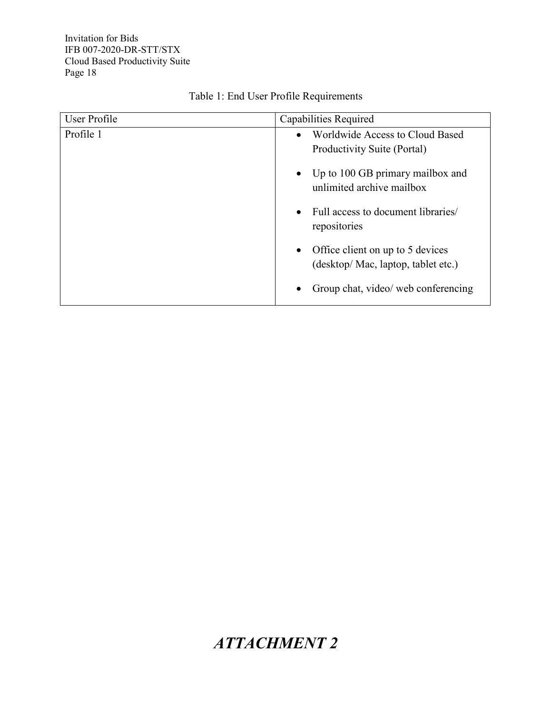<span id="page-19-0"></span>

| User Profile<br>Capabilities Required |                                                                   |
|---------------------------------------|-------------------------------------------------------------------|
| Profile 1                             | Worldwide Access to Cloud Based<br>$\bullet$                      |
|                                       | Productivity Suite (Portal)                                       |
|                                       | • Up to $100$ GB primary mailbox and<br>unlimited archive mailbox |
|                                       | Full access to document libraries/<br>$\bullet$<br>repositories   |
|                                       | Office client on up to 5 devices<br>$\bullet$                     |
|                                       | (desktop/ Mac, laptop, tablet etc.)                               |
|                                       | Group chat, video/ web conferencing                               |

### Table 1: End User Profile Requirements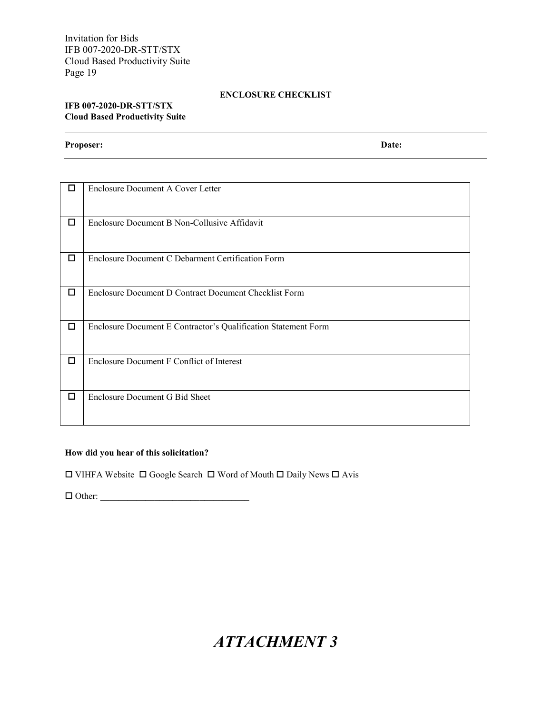#### **ENCLOSURE CHECKLIST**

#### **IFB 007-2020-DR-STT/STX Cloud Based Productivity Suite**

**Proposer: Date:**

| Π      | <b>Enclosure Document A Cover Letter</b>                       |
|--------|----------------------------------------------------------------|
| □      | Enclosure Document B Non-Collusive Affidavit                   |
| $\Box$ | Enclosure Document C Debarment Certification Form              |
| □      | Enclosure Document D Contract Document Checklist Form          |
| □      | Enclosure Document E Contractor's Qualification Statement Form |
| □      | Enclosure Document F Conflict of Interest                      |
| П      | Enclosure Document G Bid Sheet                                 |

#### **How did you hear of this solicitation?**

 $\square$  VIHFA Website  $\square$  Google Search  $\square$  Word of Mouth  $\square$  Daily News  $\square$  Avis

<span id="page-20-0"></span>Other: \_\_\_\_\_\_\_\_\_\_\_\_\_\_\_\_\_\_\_\_\_\_\_\_\_\_\_\_\_\_\_\_\_

# *ATTACHMENT 3*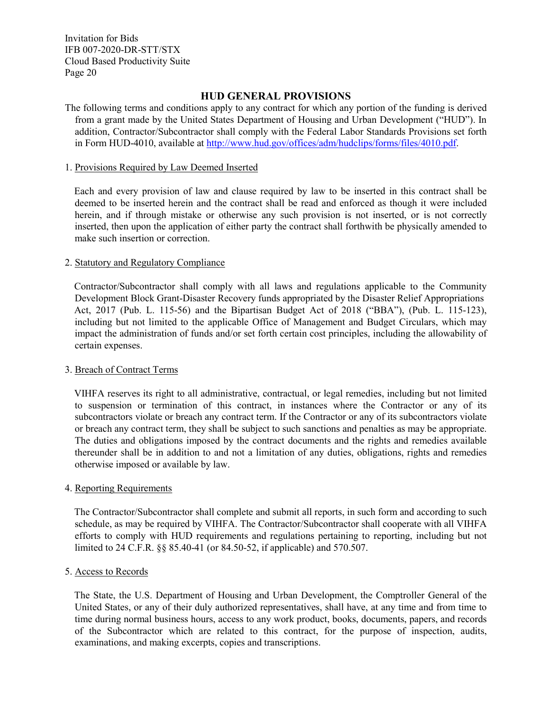#### **HUD GENERAL PROVISIONS**

The following terms and conditions apply to any contract for which any portion of the funding is derived from a grant made by the United States Department of Housing and Urban Development ("HUD"). In addition, Contractor/Subcontractor shall comply with the Federal Labor Standards Provisions set forth in Form HUD-4010, available at [http://www.hud.gov/offices/adm/hudclips/forms/files/4010.pdf.](http://www.hud.gov/offices/adm/hudclips/forms/files/4010.pdf)

#### 1. Provisions Required by Law Deemed Inserted

Each and every provision of law and clause required by law to be inserted in this contract shall be deemed to be inserted herein and the contract shall be read and enforced as though it were included herein, and if through mistake or otherwise any such provision is not inserted, or is not correctly inserted, then upon the application of either party the contract shall forthwith be physically amended to make such insertion or correction.

#### 2. Statutory and Regulatory Compliance

Contractor/Subcontractor shall comply with all laws and regulations applicable to the Community Development Block Grant-Disaster Recovery funds appropriated by the Disaster Relief Appropriations Act, 2017 (Pub. L. 115-56) and the Bipartisan Budget Act of 2018 ("BBA"), (Pub. L. 115-123), including but not limited to the applicable Office of Management and Budget Circulars, which may impact the administration of funds and/or set forth certain cost principles, including the allowability of certain expenses.

#### 3. Breach of Contract Terms

VIHFA reserves its right to all administrative, contractual, or legal remedies, including but not limited to suspension or termination of this contract, in instances where the Contractor or any of its subcontractors violate or breach any contract term. If the Contractor or any of its subcontractors violate or breach any contract term, they shall be subject to such sanctions and penalties as may be appropriate. The duties and obligations imposed by the contract documents and the rights and remedies available thereunder shall be in addition to and not a limitation of any duties, obligations, rights and remedies otherwise imposed or available by law.

#### 4. Reporting Requirements

The Contractor/Subcontractor shall complete and submit all reports, in such form and according to such schedule, as may be required by VIHFA. The Contractor/Subcontractor shall cooperate with all VIHFA efforts to comply with HUD requirements and regulations pertaining to reporting, including but not limited to 24 C.F.R. §§ 85.40-41 (or 84.50-52, if applicable) and 570.507.

#### 5. Access to Records

The State, the U.S. Department of Housing and Urban Development, the Comptroller General of the United States, or any of their duly authorized representatives, shall have, at any time and from time to time during normal business hours, access to any work product, books, documents, papers, and records of the Subcontractor which are related to this contract, for the purpose of inspection, audits, examinations, and making excerpts, copies and transcriptions.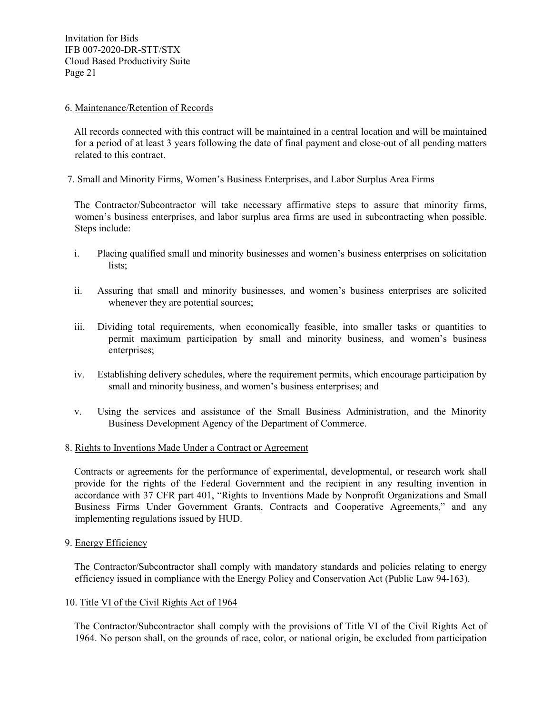#### 6. Maintenance/Retention of Records

All records connected with this contract will be maintained in a central location and will be maintained for a period of at least 3 years following the date of final payment and close-out of all pending matters related to this contract.

#### 7. Small and Minority Firms, Women's Business Enterprises, and Labor Surplus Area Firms

The Contractor/Subcontractor will take necessary affirmative steps to assure that minority firms, women's business enterprises, and labor surplus area firms are used in subcontracting when possible. Steps include:

- i. Placing qualified small and minority businesses and women's business enterprises on solicitation lists;
- ii. Assuring that small and minority businesses, and women's business enterprises are solicited whenever they are potential sources;
- iii. Dividing total requirements, when economically feasible, into smaller tasks or quantities to permit maximum participation by small and minority business, and women's business enterprises;
- iv. Establishing delivery schedules, where the requirement permits, which encourage participation by small and minority business, and women's business enterprises; and
- v. Using the services and assistance of the Small Business Administration, and the Minority Business Development Agency of the Department of Commerce.

#### 8. Rights to Inventions Made Under a Contract or Agreement

Contracts or agreements for the performance of experimental, developmental, or research work shall provide for the rights of the Federal Government and the recipient in any resulting invention in accordance with 37 CFR part 401, "Rights to Inventions Made by Nonprofit Organizations and Small Business Firms Under Government Grants, Contracts and Cooperative Agreements," and any implementing regulations issued by HUD.

#### 9. Energy Efficiency

The Contractor/Subcontractor shall comply with mandatory standards and policies relating to energy efficiency issued in compliance with the Energy Policy and Conservation Act (Public Law 94-163).

#### 10. Title VI of the Civil Rights Act of 1964

The Contractor/Subcontractor shall comply with the provisions of Title VI of the Civil Rights Act of 1964. No person shall, on the grounds of race, color, or national origin, be excluded from participation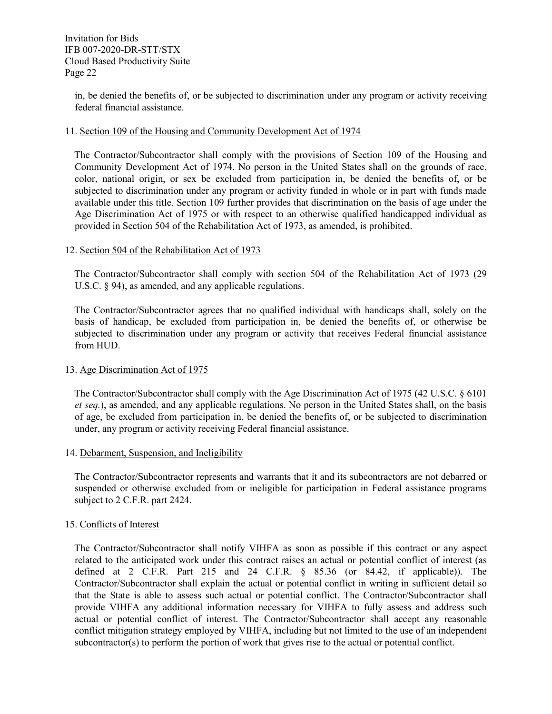in, be denied the benefits of, or be subjected to discrimination under any program or activity receiving federal financial assistance.

#### 11. Section 109 of the Housing and Community Development Act of 1974

The Contractor/Subcontractor shall comply with the provisions of Section 109 of the Housing and Community Development Act of 1974. No person in the United States shall on the grounds of race, color, national origin, or sex be excluded from participation in, be denied the benefits of, or be subjected to discrimination under any program or activity funded in whole or in part with funds made available under this title. Section 109 further provides that discrimination on the basis of age under the Age Discrimination Act of 1975 or with respect to an otherwise qualified handicapped individual as provided in Section 504 of the Rehabilitation Act of 1973, as amended, is prohibited.

#### 12. Section 504 of the Rehabilitation Act of 1973

The Contractor/Subcontractor shall comply with section 504 of the Rehabilitation Act of 1973 (29 U.S.C.  $\&$  94), as amended, and any applicable regulations.

The Contractor/Subcontractor agrees that no qualified individual with handicaps shall, solely on the basis of handicap, be excluded from participation in, be denied the benefits of, or otherwise be subjected to discrimination under any program or activity that receives Federal financial assistance from HUD.

#### 13. Age Discrimination Act of 1975

The Contractor/Subcontractor shall comply with the Age Discrimination Act of 1975 (42 U.S.C. § 6101 *et seq.*), as amended, and any applicable regulations. No person in the United States shall, on the basis of age, be excluded from participation in, be denied the benefits of, or be subjected to discrimination under, any program or activity receiving Federal financial assistance.

#### 14. Debarment, Suspension, and Ineligibility

The Contractor/Subcontractor represents and warrants that it and its subcontractors are not debarred or suspended or otherwise excluded from or ineligible for participation in Federal assistance programs subject to 2 C.F.R. part 2424.

#### 15. Conflicts of Interest

The Contractor/Subcontractor shall notify VIHFA as soon as possible if this contract or any aspect related to the anticipated work under this contract raises an actual or potential conflict of interest (as defined at 2 C.F.R. Part 215 and 24 C.F.R. § 85.36 (or 84.42, if applicable)). The Contractor/Subcontractor shall explain the actual or potential conflict in writing in sufficient detail so that the State is able to assess such actual or potential conflict. The Contractor/Subcontractor shall provide VIHFA any additional information necessary for VIHFA to fully assess and address such actual or potential conflict of interest. The Contractor/Subcontractor shall accept any reasonable conflict mitigation strategy employed by VIHFA, including but not limited to the use of an independent subcontractor(s) to perform the portion of work that gives rise to the actual or potential conflict.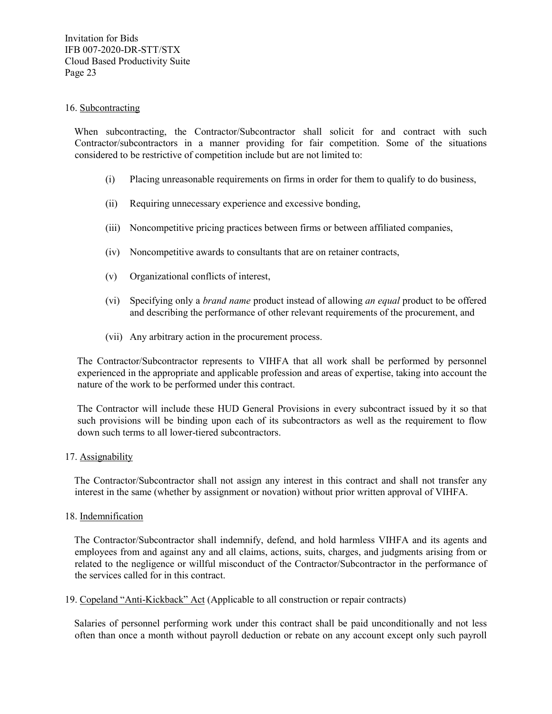#### 16. Subcontracting

When subcontracting, the Contractor/Subcontractor shall solicit for and contract with such Contractor/subcontractors in a manner providing for fair competition. Some of the situations considered to be restrictive of competition include but are not limited to:

- (i) Placing unreasonable requirements on firms in order for them to qualify to do business,
- (ii) Requiring unnecessary experience and excessive bonding,
- (iii) Noncompetitive pricing practices between firms or between affiliated companies,
- (iv) Noncompetitive awards to consultants that are on retainer contracts,
- (v) Organizational conflicts of interest,
- (vi) Specifying only a *brand name* product instead of allowing *an equal* product to be offered and describing the performance of other relevant requirements of the procurement, and
- (vii) Any arbitrary action in the procurement process.

The Contractor/Subcontractor represents to VIHFA that all work shall be performed by personnel experienced in the appropriate and applicable profession and areas of expertise, taking into account the nature of the work to be performed under this contract.

The Contractor will include these HUD General Provisions in every subcontract issued by it so that such provisions will be binding upon each of its subcontractors as well as the requirement to flow down such terms to all lower-tiered subcontractors.

#### 17. Assignability

The Contractor/Subcontractor shall not assign any interest in this contract and shall not transfer any interest in the same (whether by assignment or novation) without prior written approval of VIHFA.

#### 18. Indemnification

The Contractor/Subcontractor shall indemnify, defend, and hold harmless VIHFA and its agents and employees from and against any and all claims, actions, suits, charges, and judgments arising from or related to the negligence or willful misconduct of the Contractor/Subcontractor in the performance of the services called for in this contract.

19. Copeland "Anti-Kickback" Act (Applicable to all construction or repair contracts)

Salaries of personnel performing work under this contract shall be paid unconditionally and not less often than once a month without payroll deduction or rebate on any account except only such payroll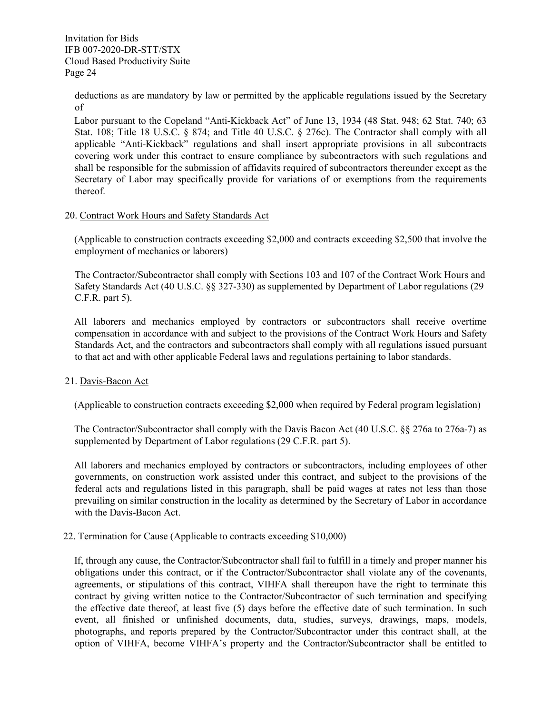deductions as are mandatory by law or permitted by the applicable regulations issued by the Secretary of

Labor pursuant to the Copeland "Anti-Kickback Act" of June 13, 1934 (48 Stat. 948; 62 Stat. 740; 63 Stat. 108; Title 18 U.S.C. § 874; and Title 40 U.S.C. § 276c). The Contractor shall comply with all applicable "Anti-Kickback" regulations and shall insert appropriate provisions in all subcontracts covering work under this contract to ensure compliance by subcontractors with such regulations and shall be responsible for the submission of affidavits required of subcontractors thereunder except as the Secretary of Labor may specifically provide for variations of or exemptions from the requirements thereof.

#### 20. Contract Work Hours and Safety Standards Act

(Applicable to construction contracts exceeding \$2,000 and contracts exceeding \$2,500 that involve the employment of mechanics or laborers)

The Contractor/Subcontractor shall comply with Sections 103 and 107 of the Contract Work Hours and Safety Standards Act (40 U.S.C. §§ 327-330) as supplemented by Department of Labor regulations (29 C.F.R. part 5).

All laborers and mechanics employed by contractors or subcontractors shall receive overtime compensation in accordance with and subject to the provisions of the Contract Work Hours and Safety Standards Act, and the contractors and subcontractors shall comply with all regulations issued pursuant to that act and with other applicable Federal laws and regulations pertaining to labor standards.

#### 21. Davis-Bacon Act

(Applicable to construction contracts exceeding \$2,000 when required by Federal program legislation)

The Contractor/Subcontractor shall comply with the Davis Bacon Act (40 U.S.C. §§ 276a to 276a-7) as supplemented by Department of Labor regulations (29 C.F.R. part 5).

All laborers and mechanics employed by contractors or subcontractors, including employees of other governments, on construction work assisted under this contract, and subject to the provisions of the federal acts and regulations listed in this paragraph, shall be paid wages at rates not less than those prevailing on similar construction in the locality as determined by the Secretary of Labor in accordance with the Davis-Bacon Act.

#### 22. Termination for Cause (Applicable to contracts exceeding \$10,000)

If, through any cause, the Contractor/Subcontractor shall fail to fulfill in a timely and proper manner his obligations under this contract, or if the Contractor/Subcontractor shall violate any of the covenants, agreements, or stipulations of this contract, VIHFA shall thereupon have the right to terminate this contract by giving written notice to the Contractor/Subcontractor of such termination and specifying the effective date thereof, at least five (5) days before the effective date of such termination. In such event, all finished or unfinished documents, data, studies, surveys, drawings, maps, models, photographs, and reports prepared by the Contractor/Subcontractor under this contract shall, at the option of VIHFA, become VIHFA's property and the Contractor/Subcontractor shall be entitled to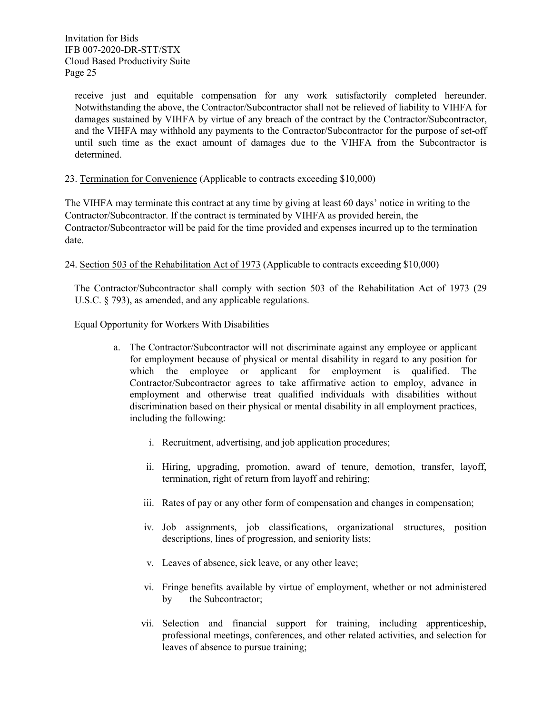receive just and equitable compensation for any work satisfactorily completed hereunder. Notwithstanding the above, the Contractor/Subcontractor shall not be relieved of liability to VIHFA for damages sustained by VIHFA by virtue of any breach of the contract by the Contractor/Subcontractor, and the VIHFA may withhold any payments to the Contractor/Subcontractor for the purpose of set-off until such time as the exact amount of damages due to the VIHFA from the Subcontractor is determined.

#### 23. Termination for Convenience (Applicable to contracts exceeding \$10,000)

The VIHFA may terminate this contract at any time by giving at least 60 days' notice in writing to the Contractor/Subcontractor. If the contract is terminated by VIHFA as provided herein, the Contractor/Subcontractor will be paid for the time provided and expenses incurred up to the termination date.

24. Section 503 of the Rehabilitation Act of 1973 (Applicable to contracts exceeding \$10,000)

The Contractor/Subcontractor shall comply with section 503 of the Rehabilitation Act of 1973 (29 U.S.C. § 793), as amended, and any applicable regulations.

Equal Opportunity for Workers With Disabilities

- a. The Contractor/Subcontractor will not discriminate against any employee or applicant for employment because of physical or mental disability in regard to any position for which the employee or applicant for employment is qualified. The Contractor/Subcontractor agrees to take affirmative action to employ, advance in employment and otherwise treat qualified individuals with disabilities without discrimination based on their physical or mental disability in all employment practices, including the following:
	- i. Recruitment, advertising, and job application procedures;
	- ii. Hiring, upgrading, promotion, award of tenure, demotion, transfer, layoff, termination, right of return from layoff and rehiring;
	- iii. Rates of pay or any other form of compensation and changes in compensation;
	- iv. Job assignments, job classifications, organizational structures, position descriptions, lines of progression, and seniority lists;
	- v. Leaves of absence, sick leave, or any other leave;
	- vi. Fringe benefits available by virtue of employment, whether or not administered by the Subcontractor;
	- vii. Selection and financial support for training, including apprenticeship, professional meetings, conferences, and other related activities, and selection for leaves of absence to pursue training;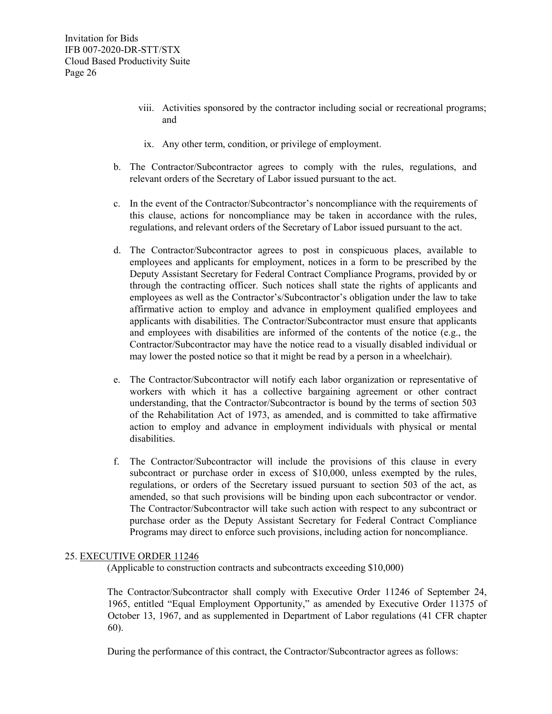- viii. Activities sponsored by the contractor including social or recreational programs; and
	- ix. Any other term, condition, or privilege of employment.
- b. The Contractor/Subcontractor agrees to comply with the rules, regulations, and relevant orders of the Secretary of Labor issued pursuant to the act.
- c. In the event of the Contractor/Subcontractor's noncompliance with the requirements of this clause, actions for noncompliance may be taken in accordance with the rules, regulations, and relevant orders of the Secretary of Labor issued pursuant to the act.
- d. The Contractor/Subcontractor agrees to post in conspicuous places, available to employees and applicants for employment, notices in a form to be prescribed by the Deputy Assistant Secretary for Federal Contract Compliance Programs, provided by or through the contracting officer. Such notices shall state the rights of applicants and employees as well as the Contractor's/Subcontractor's obligation under the law to take affirmative action to employ and advance in employment qualified employees and applicants with disabilities. The Contractor/Subcontractor must ensure that applicants and employees with disabilities are informed of the contents of the notice (e.g., the Contractor/Subcontractor may have the notice read to a visually disabled individual or may lower the posted notice so that it might be read by a person in a wheelchair).
- e. The Contractor/Subcontractor will notify each labor organization or representative of workers with which it has a collective bargaining agreement or other contract understanding, that the Contractor/Subcontractor is bound by the terms of section 503 of the Rehabilitation Act of 1973, as amended, and is committed to take affirmative action to employ and advance in employment individuals with physical or mental disabilities.
- f. The Contractor/Subcontractor will include the provisions of this clause in every subcontract or purchase order in excess of \$10,000, unless exempted by the rules, regulations, or orders of the Secretary issued pursuant to section 503 of the act, as amended, so that such provisions will be binding upon each subcontractor or vendor. The Contractor/Subcontractor will take such action with respect to any subcontract or purchase order as the Deputy Assistant Secretary for Federal Contract Compliance Programs may direct to enforce such provisions, including action for noncompliance.

#### 25. EXECUTIVE ORDER 11246

(Applicable to construction contracts and subcontracts exceeding \$10,000)

The Contractor/Subcontractor shall comply with Executive Order 11246 of September 24, 1965, entitled "Equal Employment Opportunity," as amended by Executive Order 11375 of October 13, 1967, and as supplemented in Department of Labor regulations (41 CFR chapter 60).

During the performance of this contract, the Contractor/Subcontractor agrees as follows: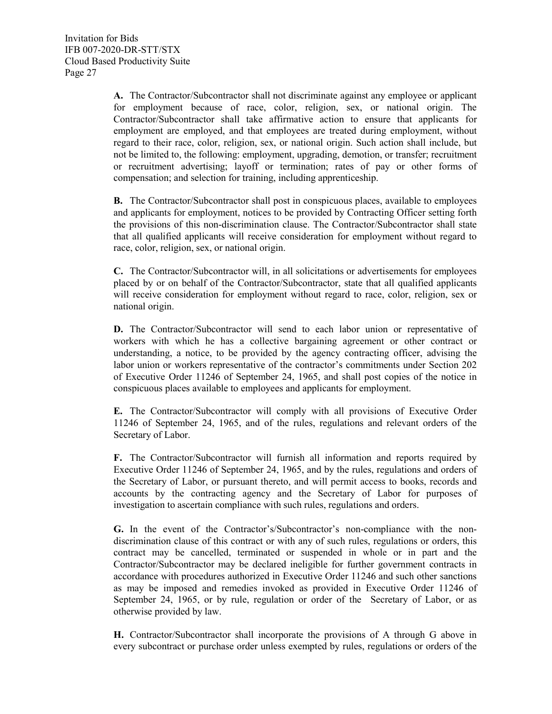**A.** The Contractor/Subcontractor shall not discriminate against any employee or applicant for employment because of race, color, religion, sex, or national origin. The Contractor/Subcontractor shall take affirmative action to ensure that applicants for employment are employed, and that employees are treated during employment, without regard to their race, color, religion, sex, or national origin. Such action shall include, but not be limited to, the following: employment, upgrading, demotion, or transfer; recruitment or recruitment advertising; layoff or termination; rates of pay or other forms of compensation; and selection for training, including apprenticeship.

**B.** The Contractor/Subcontractor shall post in conspicuous places, available to employees and applicants for employment, notices to be provided by Contracting Officer setting forth the provisions of this non-discrimination clause. The Contractor/Subcontractor shall state that all qualified applicants will receive consideration for employment without regard to race, color, religion, sex, or national origin.

**C.** The Contractor/Subcontractor will, in all solicitations or advertisements for employees placed by or on behalf of the Contractor/Subcontractor, state that all qualified applicants will receive consideration for employment without regard to race, color, religion, sex or national origin.

**D.** The Contractor/Subcontractor will send to each labor union or representative of workers with which he has a collective bargaining agreement or other contract or understanding, a notice, to be provided by the agency contracting officer, advising the labor union or workers representative of the contractor's commitments under Section 202 of Executive Order 11246 of September 24, 1965, and shall post copies of the notice in conspicuous places available to employees and applicants for employment.

**E.** The Contractor/Subcontractor will comply with all provisions of Executive Order 11246 of September 24, 1965, and of the rules, regulations and relevant orders of the Secretary of Labor.

**F.** The Contractor/Subcontractor will furnish all information and reports required by Executive Order 11246 of September 24, 1965, and by the rules, regulations and orders of the Secretary of Labor, or pursuant thereto, and will permit access to books, records and accounts by the contracting agency and the Secretary of Labor for purposes of investigation to ascertain compliance with such rules, regulations and orders.

**G.** In the event of the Contractor's/Subcontractor's non-compliance with the nondiscrimination clause of this contract or with any of such rules, regulations or orders, this contract may be cancelled, terminated or suspended in whole or in part and the Contractor/Subcontractor may be declared ineligible for further government contracts in accordance with procedures authorized in Executive Order 11246 and such other sanctions as may be imposed and remedies invoked as provided in Executive Order 11246 of September 24, 1965, or by rule, regulation or order of the Secretary of Labor, or as otherwise provided by law.

**H.** Contractor/Subcontractor shall incorporate the provisions of A through G above in every subcontract or purchase order unless exempted by rules, regulations or orders of the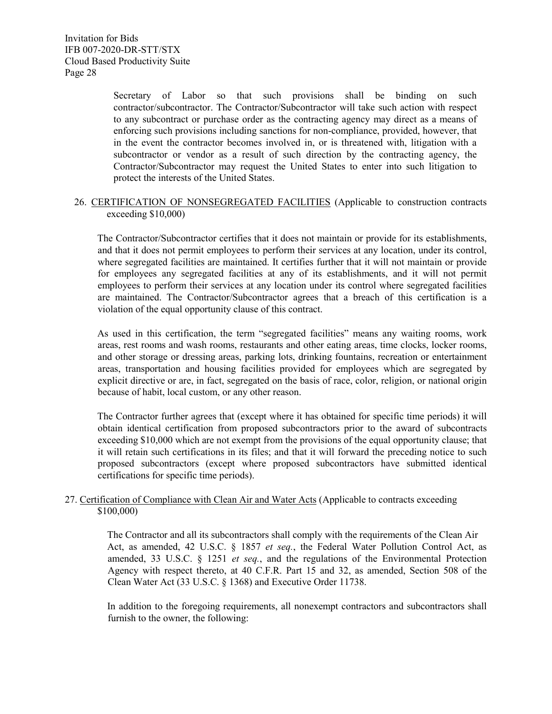Secretary of Labor so that such provisions shall be binding on such contractor/subcontractor. The Contractor/Subcontractor will take such action with respect to any subcontract or purchase order as the contracting agency may direct as a means of enforcing such provisions including sanctions for non-compliance, provided, however, that in the event the contractor becomes involved in, or is threatened with, litigation with a subcontractor or vendor as a result of such direction by the contracting agency, the Contractor/Subcontractor may request the United States to enter into such litigation to protect the interests of the United States.

#### 26. CERTIFICATION OF NONSEGREGATED FACILITIES (Applicable to construction contracts exceeding \$10,000)

The Contractor/Subcontractor certifies that it does not maintain or provide for its establishments, and that it does not permit employees to perform their services at any location, under its control, where segregated facilities are maintained. It certifies further that it will not maintain or provide for employees any segregated facilities at any of its establishments, and it will not permit employees to perform their services at any location under its control where segregated facilities are maintained. The Contractor/Subcontractor agrees that a breach of this certification is a violation of the equal opportunity clause of this contract.

As used in this certification, the term "segregated facilities" means any waiting rooms, work areas, rest rooms and wash rooms, restaurants and other eating areas, time clocks, locker rooms, and other storage or dressing areas, parking lots, drinking fountains, recreation or entertainment areas, transportation and housing facilities provided for employees which are segregated by explicit directive or are, in fact, segregated on the basis of race, color, religion, or national origin because of habit, local custom, or any other reason.

The Contractor further agrees that (except where it has obtained for specific time periods) it will obtain identical certification from proposed subcontractors prior to the award of subcontracts exceeding \$10,000 which are not exempt from the provisions of the equal opportunity clause; that it will retain such certifications in its files; and that it will forward the preceding notice to such proposed subcontractors (except where proposed subcontractors have submitted identical certifications for specific time periods).

#### 27. Certification of Compliance with Clean Air and Water Acts (Applicable to contracts exceeding \$100,000)

The Contractor and all its subcontractors shall comply with the requirements of the Clean Air Act, as amended, 42 U.S.C. § 1857 *et seq.*, the Federal Water Pollution Control Act, as amended, 33 U.S.C. § 1251 *et seq.*, and the regulations of the Environmental Protection Agency with respect thereto, at 40 C.F.R. Part 15 and 32, as amended, Section 508 of the Clean Water Act (33 U.S.C. § 1368) and Executive Order 11738.

In addition to the foregoing requirements, all nonexempt contractors and subcontractors shall furnish to the owner, the following: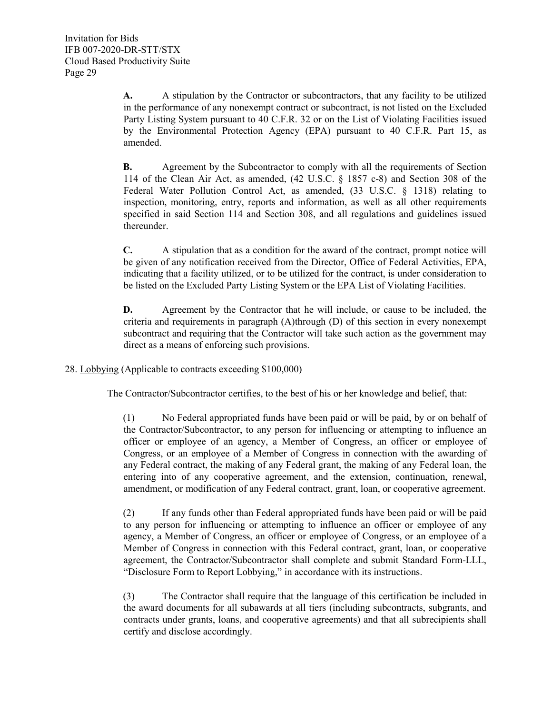**A.** A stipulation by the Contractor or subcontractors, that any facility to be utilized in the performance of any nonexempt contract or subcontract, is not listed on the Excluded Party Listing System pursuant to 40 C.F.R. 32 or on the List of Violating Facilities issued by the Environmental Protection Agency (EPA) pursuant to 40 C.F.R. Part 15, as amended.

**B.** Agreement by the Subcontractor to comply with all the requirements of Section 114 of the Clean Air Act, as amended, (42 U.S.C. § 1857 c-8) and Section 308 of the Federal Water Pollution Control Act, as amended, (33 U.S.C. § 1318) relating to inspection, monitoring, entry, reports and information, as well as all other requirements specified in said Section 114 and Section 308, and all regulations and guidelines issued thereunder.

**C.** A stipulation that as a condition for the award of the contract, prompt notice will be given of any notification received from the Director, Office of Federal Activities, EPA, indicating that a facility utilized, or to be utilized for the contract, is under consideration to be listed on the Excluded Party Listing System or the EPA List of Violating Facilities.

**D.** Agreement by the Contractor that he will include, or cause to be included, the criteria and requirements in paragraph (A)through (D) of this section in every nonexempt subcontract and requiring that the Contractor will take such action as the government may direct as a means of enforcing such provisions.

28. Lobbying (Applicable to contracts exceeding \$100,000)

The Contractor/Subcontractor certifies, to the best of his or her knowledge and belief, that:

(1) No Federal appropriated funds have been paid or will be paid, by or on behalf of the Contractor/Subcontractor, to any person for influencing or attempting to influence an officer or employee of an agency, a Member of Congress, an officer or employee of Congress, or an employee of a Member of Congress in connection with the awarding of any Federal contract, the making of any Federal grant, the making of any Federal loan, the entering into of any cooperative agreement, and the extension, continuation, renewal, amendment, or modification of any Federal contract, grant, loan, or cooperative agreement.

(2) If any funds other than Federal appropriated funds have been paid or will be paid to any person for influencing or attempting to influence an officer or employee of any agency, a Member of Congress, an officer or employee of Congress, or an employee of a Member of Congress in connection with this Federal contract, grant, loan, or cooperative agreement, the Contractor/Subcontractor shall complete and submit Standard Form-LLL, "Disclosure Form to Report Lobbying," in accordance with its instructions.

(3) The Contractor shall require that the language of this certification be included in the award documents for all subawards at all tiers (including subcontracts, subgrants, and contracts under grants, loans, and cooperative agreements) and that all subrecipients shall certify and disclose accordingly.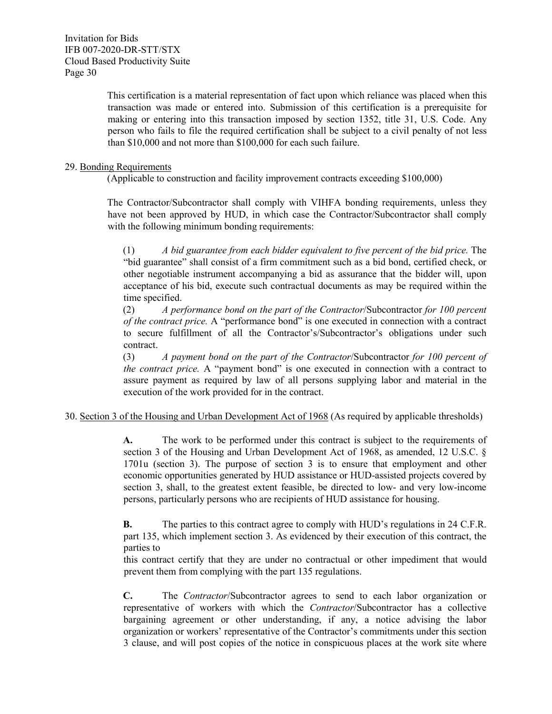> This certification is a material representation of fact upon which reliance was placed when this transaction was made or entered into. Submission of this certification is a prerequisite for making or entering into this transaction imposed by section 1352, title 31, U.S. Code. Any person who fails to file the required certification shall be subject to a civil penalty of not less than \$10,000 and not more than \$100,000 for each such failure.

#### 29. Bonding Requirements

(Applicable to construction and facility improvement contracts exceeding \$100,000)

The Contractor/Subcontractor shall comply with VIHFA bonding requirements, unless they have not been approved by HUD, in which case the Contractor/Subcontractor shall comply with the following minimum bonding requirements:

(1) *A bid guarantee from each bidder equivalent to five percent of the bid price.* The "bid guarantee" shall consist of a firm commitment such as a bid bond, certified check, or other negotiable instrument accompanying a bid as assurance that the bidder will, upon acceptance of his bid, execute such contractual documents as may be required within the time specified.

(2) *A performance bond on the part of the Contractor*/Subcontractor *for 100 percent of the contract price.* A "performance bond" is one executed in connection with a contract to secure fulfillment of all the Contractor's/Subcontractor's obligations under such contract.

(3) *A payment bond on the part of the Contractor*/Subcontractor *for 100 percent of the contract price.* A "payment bond" is one executed in connection with a contract to assure payment as required by law of all persons supplying labor and material in the execution of the work provided for in the contract.

#### 30. Section 3 of the Housing and Urban Development Act of 1968 (As required by applicable thresholds)

**A.** The work to be performed under this contract is subject to the requirements of section 3 of the Housing and Urban Development Act of 1968, as amended, 12 U.S.C. § 1701u (section 3). The purpose of section 3 is to ensure that employment and other economic opportunities generated by HUD assistance or HUD-assisted projects covered by section 3, shall, to the greatest extent feasible, be directed to low- and very low-income persons, particularly persons who are recipients of HUD assistance for housing.

**B.** The parties to this contract agree to comply with HUD's regulations in 24 C.F.R. part 135, which implement section 3. As evidenced by their execution of this contract, the parties to

this contract certify that they are under no contractual or other impediment that would prevent them from complying with the part 135 regulations.

**C.** The *Contractor*/Subcontractor agrees to send to each labor organization or representative of workers with which the *Contractor*/Subcontractor has a collective bargaining agreement or other understanding, if any, a notice advising the labor organization or workers' representative of the Contractor's commitments under this section 3 clause, and will post copies of the notice in conspicuous places at the work site where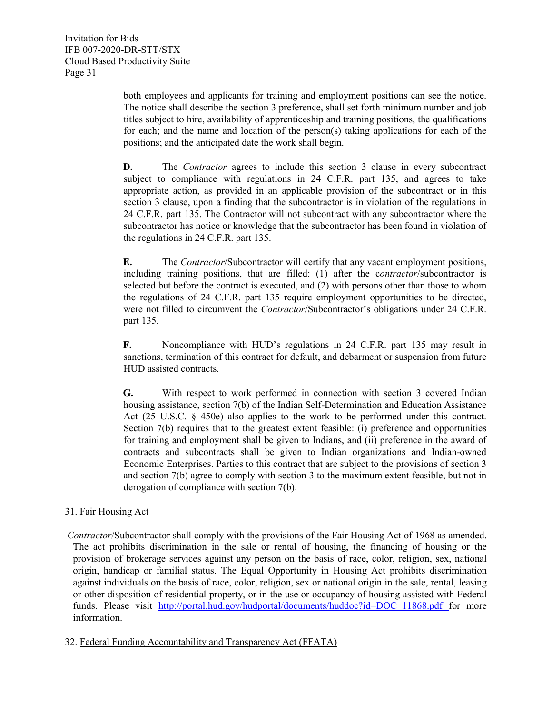both employees and applicants for training and employment positions can see the notice. The notice shall describe the section 3 preference, shall set forth minimum number and job titles subject to hire, availability of apprenticeship and training positions, the qualifications for each; and the name and location of the person(s) taking applications for each of the positions; and the anticipated date the work shall begin.

**D.** The *Contractor* agrees to include this section 3 clause in every subcontract subject to compliance with regulations in 24 C.F.R. part 135, and agrees to take appropriate action, as provided in an applicable provision of the subcontract or in this section 3 clause, upon a finding that the subcontractor is in violation of the regulations in 24 C.F.R. part 135. The Contractor will not subcontract with any subcontractor where the subcontractor has notice or knowledge that the subcontractor has been found in violation of the regulations in 24 C.F.R. part 135.

**E.** The *Contractor*/Subcontractor will certify that any vacant employment positions, including training positions, that are filled: (1) after the c*ontractor*/subcontractor is selected but before the contract is executed, and (2) with persons other than those to whom the regulations of 24 C.F.R. part 135 require employment opportunities to be directed, were not filled to circumvent the *Contractor*/Subcontractor's obligations under 24 C.F.R. part 135.

**F.** Noncompliance with HUD's regulations in 24 C.F.R. part 135 may result in sanctions, termination of this contract for default, and debarment or suspension from future HUD assisted contracts.

**G.** With respect to work performed in connection with section 3 covered Indian housing assistance, section 7(b) of the Indian Self-Determination and Education Assistance Act (25 U.S.C. § 450e) also applies to the work to be performed under this contract. Section 7(b) requires that to the greatest extent feasible: (i) preference and opportunities for training and employment shall be given to Indians, and (ii) preference in the award of contracts and subcontracts shall be given to Indian organizations and Indian-owned Economic Enterprises. Parties to this contract that are subject to the provisions of section 3 and section 7(b) agree to comply with section 3 to the maximum extent feasible, but not in derogation of compliance with section 7(b).

### 31. Fair Housing Act

*Contractor*/Subcontractor shall comply with the provisions of the Fair Housing Act of 1968 as amended. The act prohibits discrimination in the sale or rental of housing, the financing of housing or the provision of brokerage services against any person on the basis of race, color, religion, sex, national origin, handicap or familial status. The Equal Opportunity in Housing Act prohibits discrimination against individuals on the basis of race, color, religion, sex or national origin in the sale, rental, leasing or other disposition of residential property, or in the use or occupancy of housing assisted with Federal funds. Please visit http://portal.hud.gov/hudportal/documents/huddoc?id=DOC 11868.pdf for more information.

#### 32. Federal Funding Accountability and Transparency Act (FFATA)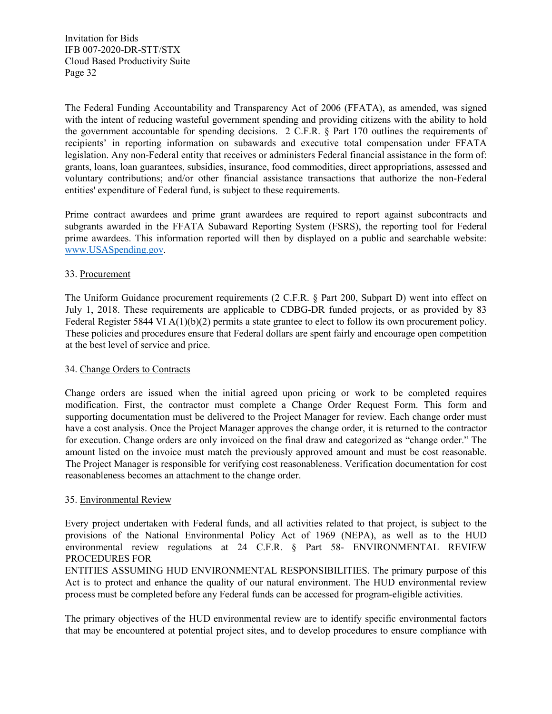The Federal Funding Accountability and Transparency Act of 2006 (FFATA), as amended, was signed with the intent of reducing wasteful government spending and providing citizens with the ability to hold the government accountable for spending decisions. 2 C.F.R. § Part 170 outlines the requirements of recipients' in reporting information on subawards and executive total compensation under FFATA legislation. Any non-Federal entity that receives or administers Federal financial assistance in the form of: grants, loans, loan guarantees, subsidies, insurance, food commodities, direct appropriations, assessed and voluntary contributions; and/or other financial assistance transactions that authorize the non-Federal entities' expenditure of Federal fund, is subject to these requirements.

Prime contract awardees and prime grant awardees are required to report against subcontracts and subgrants awarded in the FFATA Subaward Reporting System (FSRS), the reporting tool for Federal prime awardees. This information reported will then by displayed on a public and searchable website: [www.USASpending.gov.](http://www.usaspending.gov/)

#### 33. Procurement

The Uniform Guidance procurement requirements (2 C.F.R. § Part 200, Subpart D) went into effect on July 1, 2018. These requirements are applicable to CDBG-DR funded projects, or as provided by 83 Federal Register 5844 VI A(1)(b)(2) permits a state grantee to elect to follow its own procurement policy. These policies and procedures ensure that Federal dollars are spent fairly and encourage open competition at the best level of service and price.

#### 34. Change Orders to Contracts

Change orders are issued when the initial agreed upon pricing or work to be completed requires modification. First, the contractor must complete a Change Order Request Form. This form and supporting documentation must be delivered to the Project Manager for review. Each change order must have a cost analysis. Once the Project Manager approves the change order, it is returned to the contractor for execution. Change orders are only invoiced on the final draw and categorized as "change order." The amount listed on the invoice must match the previously approved amount and must be cost reasonable. The Project Manager is responsible for verifying cost reasonableness. Verification documentation for cost reasonableness becomes an attachment to the change order.

#### 35. Environmental Review

Every project undertaken with Federal funds, and all activities related to that project, is subject to the provisions of the National Environmental Policy Act of 1969 (NEPA), as well as to the HUD environmental review regulations at 24 C.F.R. § Part 58- ENVIRONMENTAL REVIEW PROCEDURES FOR

ENTITIES ASSUMING HUD ENVIRONMENTAL RESPONSIBILITIES. The primary purpose of this Act is to protect and enhance the quality of our natural environment. The HUD environmental review process must be completed before any Federal funds can be accessed for program‐eligible activities.

The primary objectives of the HUD environmental review are to identify specific environmental factors that may be encountered at potential project sites, and to develop procedures to ensure compliance with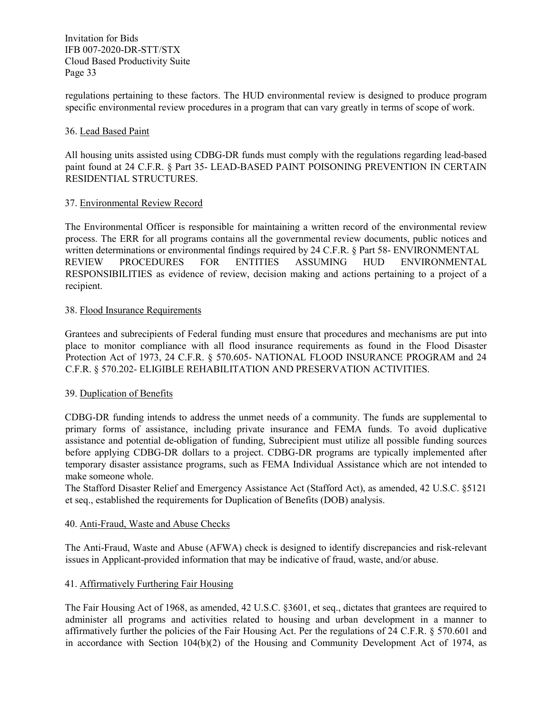regulations pertaining to these factors. The HUD environmental review is designed to produce program specific environmental review procedures in a program that can vary greatly in terms of scope of work.

#### 36. Lead Based Paint

All housing units assisted using CDBG-DR funds must comply with the regulations regarding lead-based paint found at 24 C.F.R. § Part 35- LEAD-BASED PAINT POISONING PREVENTION IN CERTAIN RESIDENTIAL STRUCTURES.

#### 37. Environmental Review Record

The Environmental Officer is responsible for maintaining a written record of the environmental review process. The ERR for all programs contains all the governmental review documents, public notices and written determinations or environmental findings required by 24 C.F.R. § Part 58- ENVIRONMENTAL REVIEW PROCEDURES FOR ENTITIES ASSUMING HUD ENVIRONMENTAL RESPONSIBILITIES as evidence of review, decision making and actions pertaining to a project of a recipient.

#### 38. Flood Insurance Requirements

Grantees and subrecipients of Federal funding must ensure that procedures and mechanisms are put into place to monitor compliance with all flood insurance requirements as found in the Flood Disaster Protection Act of 1973, 24 C.F.R. § 570.605- NATIONAL FLOOD INSURANCE PROGRAM and 24 C.F.R. § 570.202- ELIGIBLE REHABILITATION AND PRESERVATION ACTIVITIES.

#### 39. Duplication of Benefits

CDBG-DR funding intends to address the unmet needs of a community. The funds are supplemental to primary forms of assistance, including private insurance and FEMA funds. To avoid duplicative assistance and potential de-obligation of funding, Subrecipient must utilize all possible funding sources before applying CDBG-DR dollars to a project. CDBG-DR programs are typically implemented after temporary disaster assistance programs, such as FEMA Individual Assistance which are not intended to make someone whole.

The Stafford Disaster Relief and Emergency Assistance Act (Stafford Act), as amended, 42 U.S.C. §5121 et seq., established the requirements for Duplication of Benefits (DOB) analysis.

#### 40. Anti-Fraud, Waste and Abuse Checks

The Anti-Fraud, Waste and Abuse (AFWA) check is designed to identify discrepancies and risk-relevant issues in Applicant-provided information that may be indicative of fraud, waste, and/or abuse.

#### 41. Affirmatively Furthering Fair Housing

The Fair Housing Act of 1968, as amended, 42 U.S.C. §3601, et seq., dictates that grantees are required to administer all programs and activities related to housing and urban development in a manner to affirmatively further the policies of the Fair Housing Act. Per the regulations of 24 C.F.R. § 570.601 and in accordance with Section 104(b)(2) of the Housing and Community Development Act of 1974, as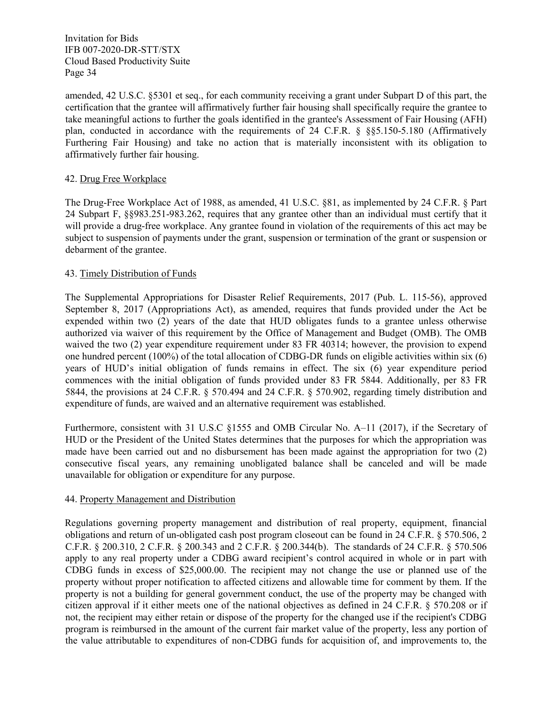amended, 42 U.S.C. §5301 et seq., for each community receiving a grant under Subpart D of this part, the certification that the grantee will affirmatively further fair housing shall specifically require the grantee to take meaningful actions to further the goals identified in the grantee's Assessment of Fair Housing (AFH) plan, conducted in accordance with the requirements of 24 C.F.R. § §§5.150-5.180 (Affirmatively Furthering Fair Housing) and take no action that is materially inconsistent with its obligation to affirmatively further fair housing.

#### 42. Drug Free Workplace

The Drug-Free Workplace Act of 1988, as amended, 41 U.S.C. §81, as implemented by 24 C.F.R. § Part 24 Subpart F, §§983.251-983.262, requires that any grantee other than an individual must certify that it will provide a drug-free workplace. Any grantee found in violation of the requirements of this act may be subject to suspension of payments under the grant, suspension or termination of the grant or suspension or debarment of the grantee.

#### 43. Timely Distribution of Funds

The Supplemental Appropriations for Disaster Relief Requirements, 2017 (Pub. L. 115-56), approved September 8, 2017 (Appropriations Act), as amended, requires that funds provided under the Act be expended within two (2) years of the date that HUD obligates funds to a grantee unless otherwise authorized via waiver of this requirement by the Office of Management and Budget (OMB). The OMB waived the two (2) year expenditure requirement under 83 FR 40314; however, the provision to expend one hundred percent (100%) of the total allocation of CDBG-DR funds on eligible activities within six (6) years of HUD's initial obligation of funds remains in effect. The six (6) year expenditure period commences with the initial obligation of funds provided under 83 FR 5844. Additionally, per 83 FR 5844, the provisions at 24 C.F.R. § 570.494 and 24 C.F.R. § 570.902, regarding timely distribution and expenditure of funds, are waived and an alternative requirement was established.

Furthermore, consistent with 31 U.S.C §1555 and OMB Circular No. A–11 (2017), if the Secretary of HUD or the President of the United States determines that the purposes for which the appropriation was made have been carried out and no disbursement has been made against the appropriation for two (2) consecutive fiscal years, any remaining unobligated balance shall be canceled and will be made unavailable for obligation or expenditure for any purpose.

#### 44. Property Management and Distribution

Regulations governing property management and distribution of real property, equipment, financial obligations and return of un-obligated cash post program closeout can be found in 24 C.F.R. § 570.506, 2 C.F.R. § 200.310, 2 C.F.R. § 200.343 and 2 C.F.R. § 200.344(b). The standards of 24 C.F.R. § 570.506 apply to any real property under a CDBG award recipient's control acquired in whole or in part with CDBG funds in excess of \$25,000.00. The recipient may not change the use or planned use of the property without proper notification to affected citizens and allowable time for comment by them. If the property is not a building for general government conduct, the use of the property may be changed with citizen approval if it either meets one of the national objectives as defined in 24 C.F.R. § 570.208 or if not, the recipient may either retain or dispose of the property for the changed use if the recipient's CDBG program is reimbursed in the amount of the current fair market value of the property, less any portion of the value attributable to expenditures of non-CDBG funds for acquisition of, and improvements to, the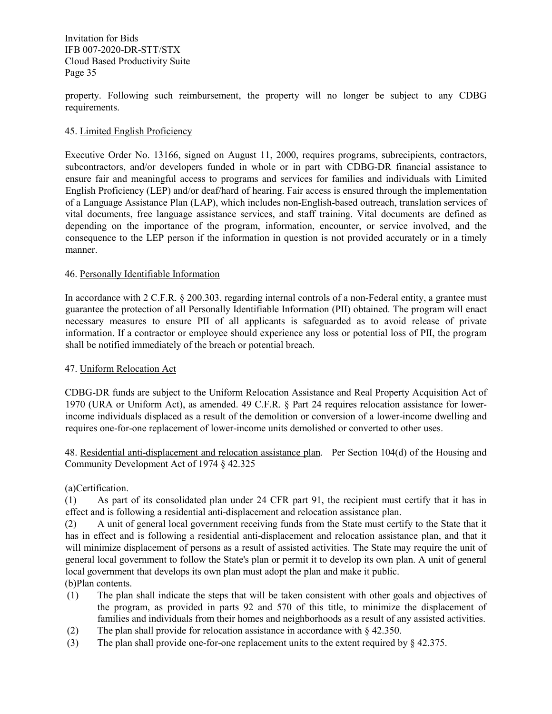property. Following such reimbursement, the property will no longer be subject to any CDBG requirements.

#### 45. Limited English Proficiency

Executive Order No. 13166, signed on August 11, 2000, requires programs, subrecipients, contractors, subcontractors, and/or developers funded in whole or in part with CDBG-DR financial assistance to ensure fair and meaningful access to programs and services for families and individuals with Limited English Proficiency (LEP) and/or deaf/hard of hearing. Fair access is ensured through the implementation of a Language Assistance Plan (LAP), which includes non-English-based outreach, translation services of vital documents, free language assistance services, and staff training. Vital documents are defined as depending on the importance of the program, information, encounter, or service involved, and the consequence to the LEP person if the information in question is not provided accurately or in a timely manner.

#### 46. Personally Identifiable Information

In accordance with 2 C.F.R. § 200.303, regarding internal controls of a non-Federal entity, a grantee must guarantee the protection of all Personally Identifiable Information (PII) obtained. The program will enact necessary measures to ensure PII of all applicants is safeguarded as to avoid release of private information. If a contractor or employee should experience any loss or potential loss of PII, the program shall be notified immediately of the breach or potential breach.

#### 47. Uniform Relocation Act

CDBG-DR funds are subject to the Uniform Relocation Assistance and Real Property Acquisition Act of 1970 (URA or Uniform Act), as amended. 49 C.F.R. § Part 24 requires relocation assistance for lowerincome individuals displaced as a result of the demolition or conversion of a lower-income dwelling and requires one-for-one replacement of lower-income units demolished or converted to other uses.

48. Residential anti-displacement and relocation assistance plan. Per Section 104(d) of the Housing and Community Development Act of 1974 § 42.325

#### (a)Certification.

(1) As part of its consolidated plan under [24 CFR part 91,](https://www.law.cornell.edu/cfr/text/24/part-91) the recipient must certify that it has in effect and is following a residential anti-displacement and relocation assistance plan.

(2) A unit of general local government receiving funds from the State must certify to the State that it has in effect and is following a residential anti-displacement and relocation assistance plan, and that it will minimize displacement of persons as a result of assisted activities. The State may require the unit of general local government to follow the State's plan or permit it to develop its own plan. A unit of general local government that develops its own plan must adopt the plan and make it public. (b)Plan contents.

- (1) The plan shall indicate the steps that will be taken consistent with other goals and objectives of the program, as provided in parts 92 and 570 of this title, to minimize the displacement of families and individuals from their homes and neighborhoods as a result of any assisted activities.
- (2) The plan shall provide for relocation assistance in accordance with [§ 42.350](https://www.law.cornell.edu/cfr/text/24/42.350)[.](https://www.law.cornell.edu/cfr/text/24/42.350)
- (3) The plan shall provide one-for-one replacement units to the extent required by [§ 42.375](https://www.law.cornell.edu/cfr/text/24/42.375)[.](https://www.law.cornell.edu/cfr/text/24/42.375)